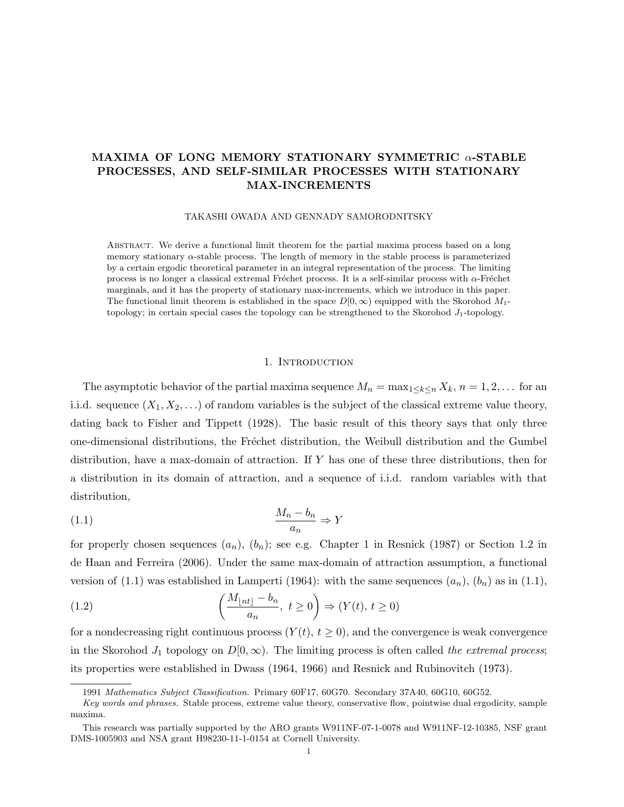# MAXIMA OF LONG MEMORY STATIONARY SYMMETRIC  $\alpha$ -STABLE PROCESSES, AND SELF-SIMILAR PROCESSES WITH STATIONARY MAX-INCREMENTS

TAKASHI OWADA AND GENNADY SAMORODNITSKY

Abstract. We derive a functional limit theorem for the partial maxima process based on a long memory stationary  $\alpha$ -stable process. The length of memory in the stable process is parameterized by a certain ergodic theoretical parameter in an integral representation of the process. The limiting process is no longer a classical extremal Fréchet process. It is a self-similar process with  $\alpha$ -Fréchet marginals, and it has the property of stationary max-increments, which we introduce in this paper. The functional limit theorem is established in the space  $D[0,\infty)$  equipped with the Skorohod  $M_1$ topology; in certain special cases the topology can be strengthened to the Skorohod  $J_1$ -topology.

#### 1. INTRODUCTION

The asymptotic behavior of the partial maxima sequence  $M_n = \max_{1 \leq k \leq n} X_k$ ,  $n = 1, 2, \ldots$  for an i.i.d. sequence  $(X_1, X_2, ...)$  of random variables is the subject of the classical extreme value theory, dating back to Fisher and Tippett (1928). The basic result of this theory says that only three one-dimensional distributions, the Fréchet distribution, the Weibull distribution and the Gumbel distribution, have a max-domain of attraction. If Y has one of these three distributions, then for a distribution in its domain of attraction, and a sequence of i.i.d. random variables with that distribution,

$$
\frac{M_n - b_n}{a_n} \Rightarrow Y
$$

for properly chosen sequences  $(a_n)$ ,  $(b_n)$ ; see e.g. Chapter 1 in Resnick (1987) or Section 1.2 in de Haan and Ferreira (2006). Under the same max-domain of attraction assumption, a functional version of (1.1) was established in Lamperti (1964): with the same sequences  $(a_n)$ ,  $(b_n)$  as in (1.1),

(1.2) 
$$
\left(\frac{M_{\lfloor nt \rfloor} - b_n}{a_n}, t \ge 0\right) \Rightarrow (Y(t), t \ge 0)
$$

for a nondecreasing right continuous process  $(Y(t), t \ge 0)$ , and the convergence is weak convergence in the Skorohod  $J_1$  topology on  $D[0,\infty)$ . The limiting process is often called the extremal process; its properties were established in Dwass (1964, 1966) and Resnick and Rubinovitch (1973).

<sup>1991</sup> Mathematics Subject Classification. Primary 60F17, 60G70. Secondary 37A40, 60G10, 60G52.

Key words and phrases. Stable process, extreme value theory, conservative flow, pointwise dual ergodicity, sample maxima.

This research was partially supported by the ARO grants W911NF-07-1-0078 and W911NF-12-10385, NSF grant DMS-1005903 and NSA grant H98230-11-1-0154 at Cornell University.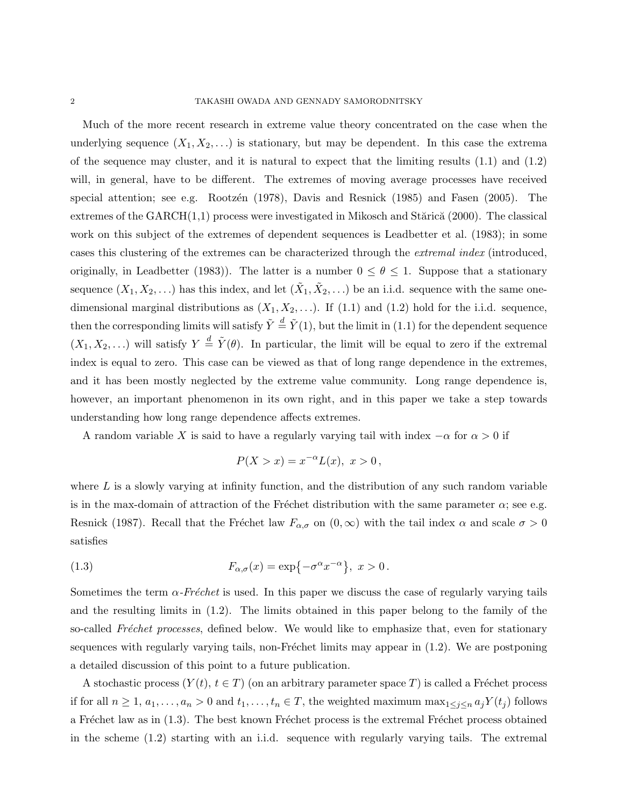Much of the more recent research in extreme value theory concentrated on the case when the underlying sequence  $(X_1, X_2, \ldots)$  is stationary, but may be dependent. In this case the extrema of the sequence may cluster, and it is natural to expect that the limiting results (1.1) and (1.2) will, in general, have to be different. The extremes of moving average processes have received special attention; see e.g. Rootz $\acute{e}$ n (1978), Davis and Resnick (1985) and Fasen (2005). The extremes of the  $GARCH(1,1)$  process were investigated in Mikosch and Stărică (2000). The classical work on this subject of the extremes of dependent sequences is Leadbetter et al. (1983); in some cases this clustering of the extremes can be characterized through the extremal index (introduced, originally, in Leadbetter (1983)). The latter is a number  $0 \le \theta \le 1$ . Suppose that a stationary sequence  $(X_1, X_2, \ldots)$  has this index, and let  $(\tilde{X}_1, \tilde{X}_2, \ldots)$  be an i.i.d. sequence with the same onedimensional marginal distributions as  $(X_1, X_2, \ldots)$ . If (1.1) and (1.2) hold for the i.i.d. sequence, then the corresponding limits will satisfy  $\tilde{Y} \stackrel{d}{=} \tilde{Y}(1)$ , but the limit in (1.1) for the dependent sequence  $(X_1, X_2, \ldots)$  will satisfy  $Y \stackrel{d}{=} \tilde{Y}(\theta)$ . In particular, the limit will be equal to zero if the extremal index is equal to zero. This case can be viewed as that of long range dependence in the extremes, and it has been mostly neglected by the extreme value community. Long range dependence is, however, an important phenomenon in its own right, and in this paper we take a step towards understanding how long range dependence affects extremes.

A random variable X is said to have a regularly varying tail with index  $-\alpha$  for  $\alpha > 0$  if

$$
P(X > x) = x^{-\alpha}L(x), \ x > 0,
$$

where  $L$  is a slowly varying at infinity function, and the distribution of any such random variable is in the max-domain of attraction of the Fréchet distribution with the same parameter  $\alpha$ ; see e.g. Resnick (1987). Recall that the Fréchet law  $F_{\alpha,\sigma}$  on  $(0,\infty)$  with the tail index  $\alpha$  and scale  $\sigma > 0$ satisfies

(1.3) 
$$
F_{\alpha,\sigma}(x) = \exp\{-\sigma^{\alpha}x^{-\alpha}\}, \ x > 0.
$$

Sometimes the term  $\alpha$ -Fréchet is used. In this paper we discuss the case of regularly varying tails and the resulting limits in (1.2). The limits obtained in this paper belong to the family of the so-called Fréchet processes, defined below. We would like to emphasize that, even for stationary sequences with regularly varying tails, non-Fréchet limits may appear in  $(1.2)$ . We are postponing a detailed discussion of this point to a future publication.

A stochastic process  $(Y(t), t \in T)$  (on an arbitrary parameter space T) is called a Fréchet process if for all  $n \ge 1, a_1, \ldots, a_n > 0$  and  $t_1, \ldots, t_n \in T$ , the weighted maximum  $\max_{1 \le j \le n} a_j Y(t_j)$  follows a Fréchet law as in  $(1.3)$ . The best known Fréchet process is the extremal Fréchet process obtained in the scheme (1.2) starting with an i.i.d. sequence with regularly varying tails. The extremal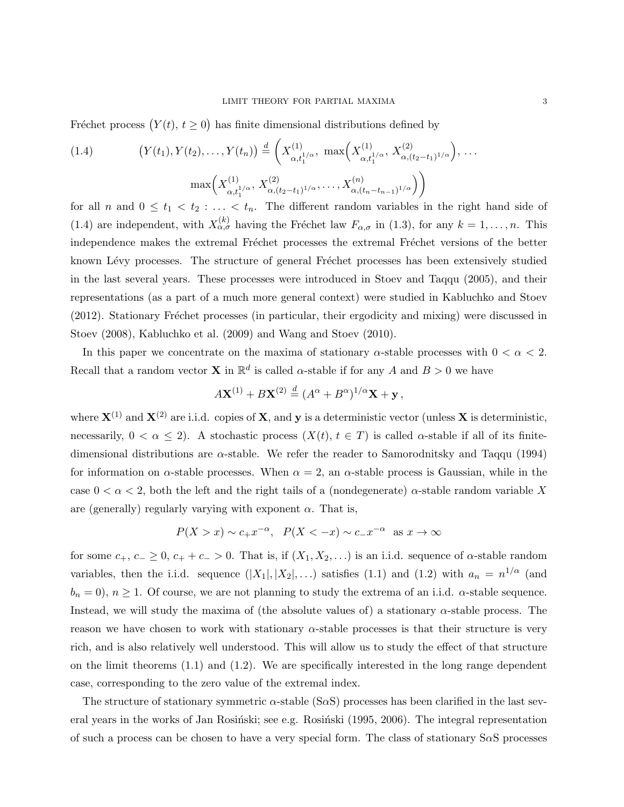Fréchet process  $(Y(t), t \geq 0)$  has finite dimensional distributions defined by

(1.4) 
$$
(Y(t_1), Y(t_2), \dots, Y(t_n)) \stackrel{d}{=} \left(X_{\alpha, t_1^{1/\alpha}}^{(1)}, \max\left(X_{\alpha, t_1^{1/\alpha}}^{(1)}, X_{\alpha, (t_2-t_1)^{1/\alpha}}^{(2)}\right), \dots
$$

$$
\max\left(X_{\alpha, t_1^{1/\alpha}}^{(1)}, X_{\alpha, (t_2-t_1)^{1/\alpha}}^{(2)}, \dots, X_{\alpha, (t_n-t_{n-1})^{1/\alpha}}^{(n)}\right)\right)
$$

for all n and  $0 \leq t_1 < t_2 : \ldots < t_n$ . The different random variables in the right hand side of (1.4) are independent, with  $X_{\alpha,\sigma}^{(k)}$  having the Fréchet law  $F_{\alpha,\sigma}$  in (1.3), for any  $k = 1,\ldots,n$ . This independence makes the extremal Fréchet processes the extremal Fréchet versions of the better known Lévy processes. The structure of general Fréchet processes has been extensively studied in the last several years. These processes were introduced in Stoev and Taqqu (2005), and their representations (as a part of a much more general context) were studied in Kabluchko and Stoev (2012). Stationary Fréchet processes (in particular, their ergodicity and mixing) were discussed in Stoev (2008), Kabluchko et al. (2009) and Wang and Stoev (2010).

In this paper we concentrate on the maxima of stationary  $\alpha$ -stable processes with  $0 < \alpha < 2$ . Recall that a random vector **X** in  $\mathbb{R}^d$  is called  $\alpha$ -stable if for any A and  $B > 0$  we have

$$
A\mathbf{X}^{(1)} + B\mathbf{X}^{(2)} \stackrel{d}{=} (A^{\alpha} + B^{\alpha})^{1/\alpha}\mathbf{X} + \mathbf{y},
$$

where  $\mathbf{X}^{(1)}$  and  $\mathbf{X}^{(2)}$  are i.i.d. copies of  $\mathbf{X}$ , and  $\mathbf{y}$  is a deterministic vector (unless  $\mathbf{X}$  is deterministic, necessarily,  $0 < \alpha \leq 2$ ). A stochastic process  $(X(t), t \in T)$  is called  $\alpha$ -stable if all of its finitedimensional distributions are  $\alpha$ -stable. We refer the reader to Samorodnitsky and Taqqu (1994) for information on  $\alpha$ -stable processes. When  $\alpha = 2$ , an  $\alpha$ -stable process is Gaussian, while in the case  $0 < \alpha < 2$ , both the left and the right tails of a (nondegenerate)  $\alpha$ -stable random variable X are (generally) regularly varying with exponent  $\alpha$ . That is,

$$
P(X > x) \sim c_+ x^{-\alpha}
$$
,  $P(X < -x) \sim c_- x^{-\alpha}$  as  $x \to \infty$ 

for some  $c_+$ ,  $c_-\geq 0$ ,  $c_+ + c_- > 0$ . That is, if  $(X_1, X_2, ...)$  is an i.i.d. sequence of  $\alpha$ -stable random variables, then the i.i.d. sequence  $(|X_1|, |X_2|, ...)$  satisfies  $(1.1)$  and  $(1.2)$  with  $a_n = n^{1/\alpha}$  (and  $b_n = 0$ ,  $n \ge 1$ . Of course, we are not planning to study the extrema of an i.i.d.  $\alpha$ -stable sequence. Instead, we will study the maxima of (the absolute values of) a stationary  $\alpha$ -stable process. The reason we have chosen to work with stationary  $\alpha$ -stable processes is that their structure is very rich, and is also relatively well understood. This will allow us to study the effect of that structure on the limit theorems (1.1) and (1.2). We are specifically interested in the long range dependent case, corresponding to the zero value of the extremal index.

The structure of stationary symmetric  $\alpha$ -stable (S $\alpha$ S) processes has been clarified in the last several years in the works of Jan Rosiński; see e.g. Rosiński (1995, 2006). The integral representation of such a process can be chosen to have a very special form. The class of stationary  $S\alpha S$  processes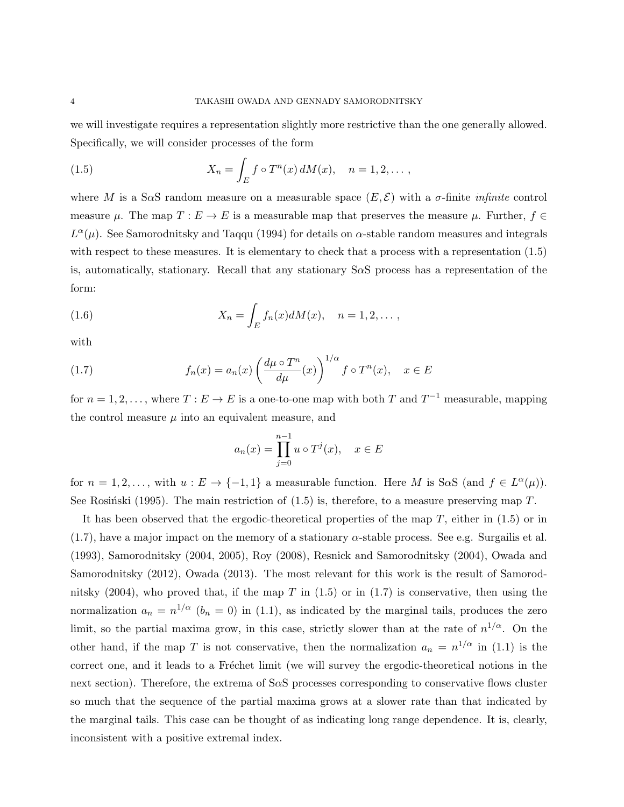we will investigate requires a representation slightly more restrictive than the one generally allowed. Specifically, we will consider processes of the form

(1.5) 
$$
X_n = \int_E f \circ T^n(x) dM(x), \quad n = 1, 2, \dots,
$$

where M is a S $\alpha$ S random measure on a measurable space  $(E, \mathcal{E})$  with a  $\sigma$ -finite infinite control measure  $\mu$ . The map  $T : E \to E$  is a measurable map that preserves the measure  $\mu$ . Further,  $f \in$  $L^{\alpha}(\mu)$ . See Samorodnitsky and Taqqu (1994) for details on  $\alpha$ -stable random measures and integrals with respect to these measures. It is elementary to check that a process with a representation (1.5) is, automatically, stationary. Recall that any stationary  $S \alpha S$  process has a representation of the form:

(1.6) 
$$
X_n = \int_E f_n(x) dM(x), \quad n = 1, 2, \dots,
$$

with

(1.7) 
$$
f_n(x) = a_n(x) \left( \frac{d\mu \circ T^n}{d\mu}(x) \right)^{1/\alpha} f \circ T^n(x), \quad x \in E
$$

for  $n = 1, 2, \ldots$ , where  $T : E \to E$  is a one-to-one map with both T and  $T^{-1}$  measurable, mapping the control measure  $\mu$  into an equivalent measure, and

$$
a_n(x) = \prod_{j=0}^{n-1} u \circ T^j(x), \quad x \in E
$$

for  $n = 1, 2, \ldots$ , with  $u : E \to \{-1, 1\}$  a measurable function. Here M is SoS (and  $f \in L^{\alpha}(\mu)$ ). See Rosinski (1995). The main restriction of  $(1.5)$  is, therefore, to a measure preserving map T.

It has been observed that the ergodic-theoretical properties of the map T, either in (1.5) or in (1.7), have a major impact on the memory of a stationary α-stable process. See e.g. Surgailis et al. (1993), Samorodnitsky (2004, 2005), Roy (2008), Resnick and Samorodnitsky (2004), Owada and Samorodnitsky (2012), Owada (2013). The most relevant for this work is the result of Samorodnitsky  $(2004)$ , who proved that, if the map T in  $(1.5)$  or in  $(1.7)$  is conservative, then using the normalization  $a_n = n^{1/\alpha}$  ( $b_n = 0$ ) in (1.1), as indicated by the marginal tails, produces the zero limit, so the partial maxima grow, in this case, strictly slower than at the rate of  $n^{1/\alpha}$ . On the other hand, if the map T is not conservative, then the normalization  $a_n = n^{1/\alpha}$  in (1.1) is the correct one, and it leads to a Fréchet limit (we will survey the ergodic-theoretical notions in the next section). Therefore, the extrema of SαS processes corresponding to conservative flows cluster so much that the sequence of the partial maxima grows at a slower rate than that indicated by the marginal tails. This case can be thought of as indicating long range dependence. It is, clearly, inconsistent with a positive extremal index.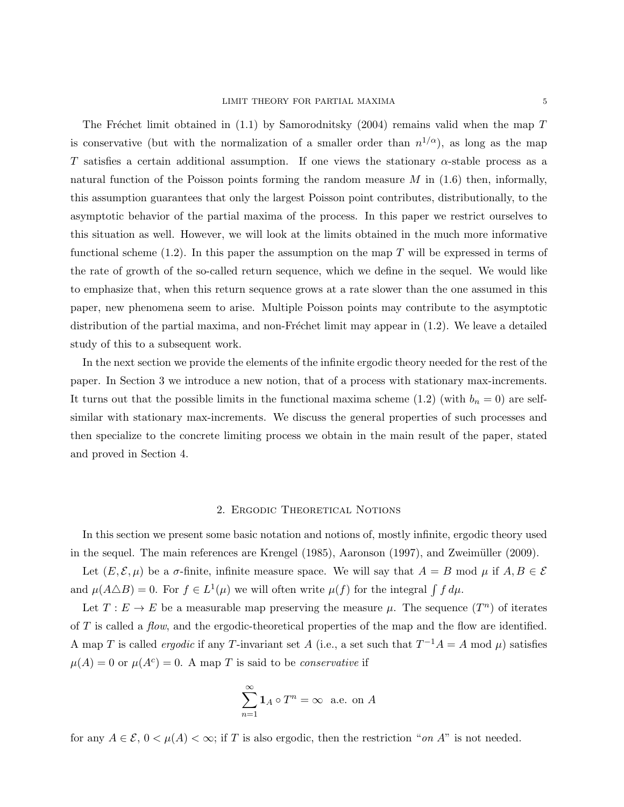The Fréchet limit obtained in  $(1.1)$  by Samorodnitsky (2004) remains valid when the map T is conservative (but with the normalization of a smaller order than  $n^{1/\alpha}$ ), as long as the map T satisfies a certain additional assumption. If one views the stationary  $\alpha$ -stable process as a natural function of the Poisson points forming the random measure  $M$  in  $(1.6)$  then, informally, this assumption guarantees that only the largest Poisson point contributes, distributionally, to the asymptotic behavior of the partial maxima of the process. In this paper we restrict ourselves to this situation as well. However, we will look at the limits obtained in the much more informative functional scheme  $(1.2)$ . In this paper the assumption on the map T will be expressed in terms of the rate of growth of the so-called return sequence, which we define in the sequel. We would like to emphasize that, when this return sequence grows at a rate slower than the one assumed in this paper, new phenomena seem to arise. Multiple Poisson points may contribute to the asymptotic distribution of the partial maxima, and non-Fréchet limit may appear in  $(1.2)$ . We leave a detailed study of this to a subsequent work.

In the next section we provide the elements of the infinite ergodic theory needed for the rest of the paper. In Section 3 we introduce a new notion, that of a process with stationary max-increments. It turns out that the possible limits in the functional maxima scheme (1.2) (with  $b_n = 0$ ) are selfsimilar with stationary max-increments. We discuss the general properties of such processes and then specialize to the concrete limiting process we obtain in the main result of the paper, stated and proved in Section 4.

#### 2. Ergodic Theoretical Notions

In this section we present some basic notation and notions of, mostly infinite, ergodic theory used in the sequel. The main references are Krengel (1985), Aaronson (1997), and Zweimüller (2009).

Let  $(E, \mathcal{E}, \mu)$  be a  $\sigma$ -finite, infinite measure space. We will say that  $A = B \text{ mod } \mu$  if  $A, B \in \mathcal{E}$ and  $\mu(A \triangle B) = 0$ . For  $f \in L^1(\mu)$  we will often write  $\mu(f)$  for the integral  $\int f d\mu$ .

Let  $T: E \to E$  be a measurable map preserving the measure  $\mu$ . The sequence  $(T^n)$  of iterates of T is called a *flow*, and the ergodic-theoretical properties of the map and the flow are identified. A map T is called *ergodic* if any T-invariant set A (i.e., a set such that  $T^{-1}A = A \mod \mu$ ) satisfies  $\mu(A) = 0$  or  $\mu(A^c) = 0$ . A map T is said to be *conservative* if

$$
\sum_{n=1}^{\infty} \mathbf{1}_A \circ T^n = \infty \text{ a.e. on } A
$$

for any  $A \in \mathcal{E}$ ,  $0 < \mu(A) < \infty$ ; if T is also ergodic, then the restriction "on A" is not needed.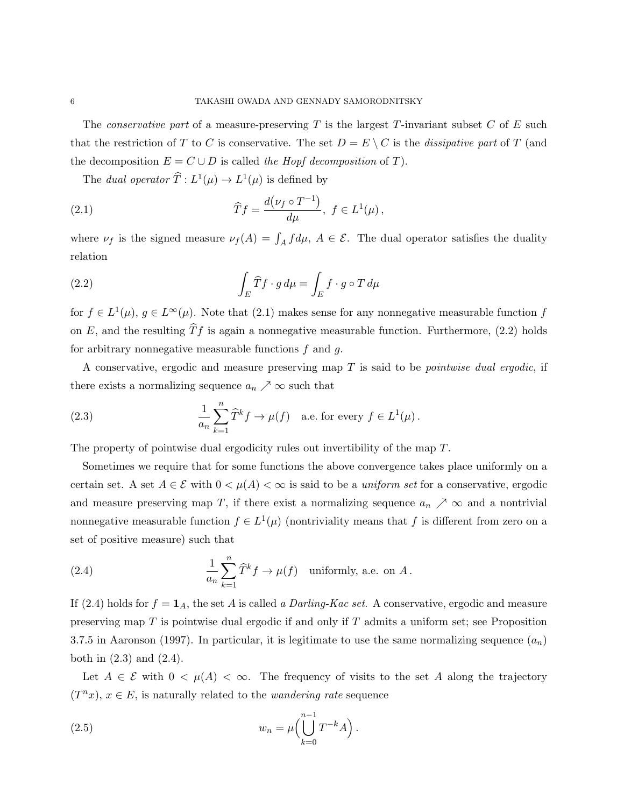The *conservative part* of a measure-preserving  $T$  is the largest  $T$ -invariant subset  $C$  of  $E$  such that the restriction of T to C is conservative. The set  $D = E \setminus C$  is the dissipative part of T (and the decomposition  $E = C \cup D$  is called the Hopf decomposition of T).

The dual operator  $\widehat{T} : L^1(\mu) \to L^1(\mu)$  is defined by

(2.1) 
$$
\widehat{T}f = \frac{d(\nu_f \circ T^{-1})}{d\mu}, \ f \in L^1(\mu),
$$

where  $\nu_f$  is the signed measure  $\nu_f(A) = \int_A f d\mu$ ,  $A \in \mathcal{E}$ . The dual operator satisfies the duality relation

(2.2) 
$$
\int_{E} \widehat{T} f \cdot g d\mu = \int_{E} f \cdot g \circ T d\mu
$$

for  $f \in L^1(\mu)$ ,  $g \in L^{\infty}(\mu)$ . Note that (2.1) makes sense for any nonnegative measurable function f on E, and the resulting  $\widehat{T}f$  is again a nonnegative measurable function. Furthermore, (2.2) holds for arbitrary nonnegative measurable functions f and g.

A conservative, ergodic and measure preserving map T is said to be pointwise dual ergodic, if there exists a normalizing sequence  $a_n \nearrow \infty$  such that

(2.3) 
$$
\frac{1}{a_n} \sum_{k=1}^n \widehat{T}^k f \to \mu(f) \quad \text{a.e. for every } f \in L^1(\mu).
$$

The property of pointwise dual ergodicity rules out invertibility of the map T.

Sometimes we require that for some functions the above convergence takes place uniformly on a certain set. A set  $A \in \mathcal{E}$  with  $0 \lt \mu(A) \lt \infty$  is said to be a uniform set for a conservative, ergodic and measure preserving map T, if there exist a normalizing sequence  $a_n \nearrow \infty$  and a nontrivial nonnegative measurable function  $f \in L^1(\mu)$  (nontriviality means that f is different from zero on a set of positive measure) such that

(2.4) 
$$
\frac{1}{a_n} \sum_{k=1}^n \widehat{T}^k f \to \mu(f) \text{ uniformly, a.e. on } A.
$$

If (2.4) holds for  $f = \mathbf{1}_A$ , the set A is called a *Darling-Kac set*. A conservative, ergodic and measure preserving map  $T$  is pointwise dual ergodic if and only if  $T$  admits a uniform set; see Proposition 3.7.5 in Aaronson (1997). In particular, it is legitimate to use the same normalizing sequence  $(a_n)$ both in (2.3) and (2.4).

Let  $A \in \mathcal{E}$  with  $0 < \mu(A) < \infty$ . The frequency of visits to the set A along the trajectory  $(T^n x)$ ,  $x \in E$ , is naturally related to the *wandering rate* sequence

(2.5) 
$$
w_n = \mu \Big( \bigcup_{k=0}^{n-1} T^{-k} A \Big).
$$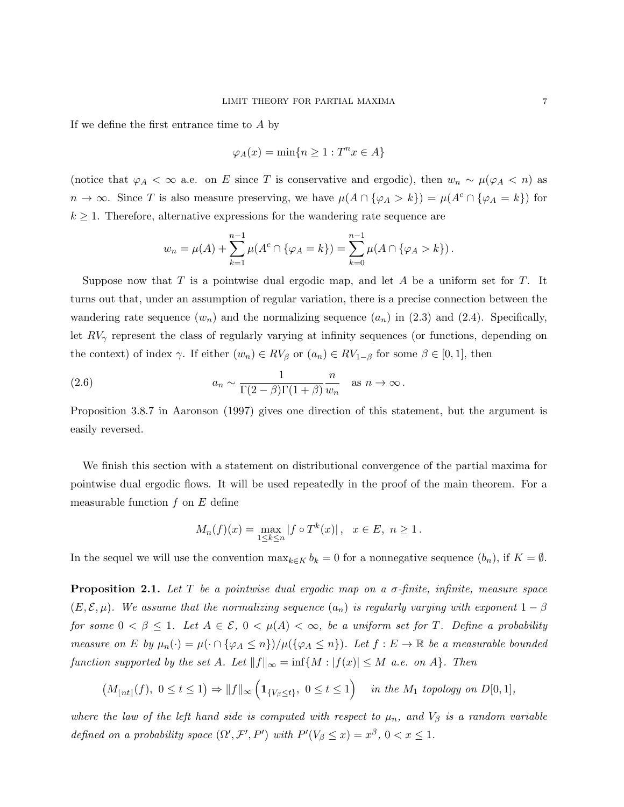If we define the first entrance time to A by

$$
\varphi_A(x) = \min\{n \ge 1 : T^n x \in A\}
$$

(notice that  $\varphi_A < \infty$  a.e. on E since T is conservative and ergodic), then  $w_n \sim \mu(\varphi_A < n)$  as  $n \to \infty$ . Since T is also measure preserving, we have  $\mu(A \cap {\varphi_A > k}) = \mu(A^c \cap {\varphi_A = k})$  for  $k \geq 1$ . Therefore, alternative expressions for the wandering rate sequence are

$$
w_n = \mu(A) + \sum_{k=1}^{n-1} \mu(A^c \cap {\varphi}_A = k) = \sum_{k=0}^{n-1} \mu(A \cap {\varphi}_A > k).
$$

Suppose now that  $T$  is a pointwise dual ergodic map, and let  $A$  be a uniform set for  $T$ . It turns out that, under an assumption of regular variation, there is a precise connection between the wandering rate sequence  $(w_n)$  and the normalizing sequence  $(a_n)$  in (2.3) and (2.4). Specifically, let  $RV_{\gamma}$  represent the class of regularly varying at infinity sequences (or functions, depending on the context) of index  $\gamma$ . If either  $(w_n) \in RV_\beta$  or  $(a_n) \in RV_{1-\beta}$  for some  $\beta \in [0,1]$ , then

(2.6) 
$$
a_n \sim \frac{1}{\Gamma(2-\beta)\Gamma(1+\beta)} \frac{n}{w_n} \text{ as } n \to \infty.
$$

Proposition 3.8.7 in Aaronson (1997) gives one direction of this statement, but the argument is easily reversed.

We finish this section with a statement on distributional convergence of the partial maxima for pointwise dual ergodic flows. It will be used repeatedly in the proof of the main theorem. For a measurable function  $f$  on  $E$  define

$$
M_n(f)(x) = \max_{1 \le k \le n} |f \circ T^k(x)|
$$
,  $x \in E$ ,  $n \ge 1$ .

In the sequel we will use the convention  $\max_{k \in K} b_k = 0$  for a nonnegative sequence  $(b_n)$ , if  $K = \emptyset$ .

**Proposition 2.1.** Let T be a pointwise dual ergodic map on a  $\sigma$ -finite, infinite, measure space  $(E, \mathcal{E}, \mu)$ . We assume that the normalizing sequence  $(a_n)$  is regularly varying with exponent  $1 - \beta$ for some  $0 < \beta \leq 1$ . Let  $A \in \mathcal{E}$ ,  $0 < \mu(A) < \infty$ , be a uniform set for T. Define a probability measure on E by  $\mu_n(\cdot) = \mu(\cdot \cap {\varphi_A \leq n})/\mu({\varphi_A \leq n})$ . Let  $f : E \to \mathbb{R}$  be a measurable bounded function supported by the set A. Let  $||f||_{\infty} = \inf\{M : |f(x)| \leq M \text{ a.e. on } A\}$ . Then

$$
\left(M_{\lfloor nt\rfloor}(f),\ 0\leq t\leq 1\right)\Rightarrow \|f\|_{\infty}\left(\mathbf{1}_{\{V_{\beta}\leq t\}},\ 0\leq t\leq 1\right)\quad\text{in the }M_1\text{ topology on }D[0,1],
$$

where the law of the left hand side is computed with respect to  $\mu_n$ , and  $V_\beta$  is a random variable defined on a probability space  $(\Omega', \mathcal{F}', P')$  with  $P'(V_\beta \leq x) = x^\beta$ ,  $0 < x \leq 1$ .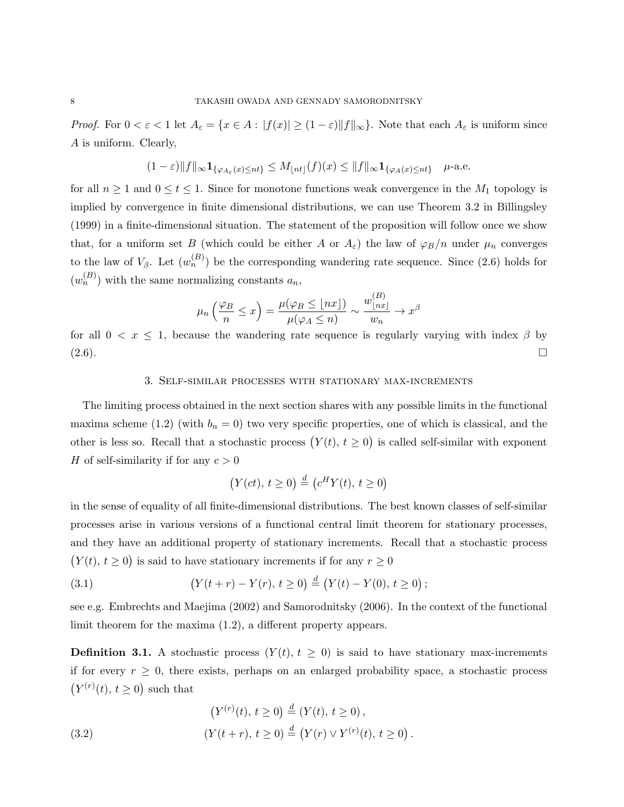*Proof.* For  $0 < \varepsilon < 1$  let  $A_{\varepsilon} = \{x \in A : |f(x)| \geq (1 - \varepsilon) ||f||_{\infty}\}$ . Note that each  $A_{\varepsilon}$  is uniform since A is uniform. Clearly,

$$
(1-\varepsilon)\|f\|_{\infty} \mathbf{1}_{\{\varphi_{A_{\varepsilon}}(x)\leq nt\}} \leq M_{\lfloor nt\rfloor}(f)(x) \leq \|f\|_{\infty} \mathbf{1}_{\{\varphi_A(x)\leq nt\}} \quad \text{if } \text{ a.e.}
$$

for all  $n \geq 1$  and  $0 \leq t \leq 1$ . Since for monotone functions weak convergence in the  $M_1$  topology is implied by convergence in finite dimensional distributions, we can use Theorem 3.2 in Billingsley (1999) in a finite-dimensional situation. The statement of the proposition will follow once we show that, for a uniform set B (which could be either A or  $A_{\varepsilon}$ ) the law of  $\varphi_B/n$  under  $\mu_n$  converges to the law of  $V_{\beta}$ . Let  $(w_n^{(B)})$  be the corresponding wandering rate sequence. Since (2.6) holds for  $(w_n^{(B)})$  with the same normalizing constants  $a_n$ ,

$$
\mu_n\left(\frac{\varphi_B}{n} \le x\right) = \frac{\mu(\varphi_B \le \lfloor nx \rfloor)}{\mu(\varphi_A \le n)} \sim \frac{w^{(B)}_{\lfloor nx \rfloor}}{w_n} \to x^\beta
$$

for all  $0 < x \leq 1$ , because the wandering rate sequence is regularly varying with index  $\beta$  by  $(2.6)$ .

### 3. Self-similar processes with stationary max-increments

The limiting process obtained in the next section shares with any possible limits in the functional maxima scheme (1.2) (with  $b_n = 0$ ) two very specific properties, one of which is classical, and the other is less so. Recall that a stochastic process  $(Y(t), t \ge 0)$  is called self-similar with exponent H of self-similarity if for any  $c > 0$ 

$$
(Y(ct), t \ge 0) \stackrel{d}{=} (c^H Y(t), t \ge 0)
$$

in the sense of equality of all finite-dimensional distributions. The best known classes of self-similar processes arise in various versions of a functional central limit theorem for stationary processes, and they have an additional property of stationary increments. Recall that a stochastic process  $(Y(t), t \geq 0)$  is said to have stationary increments if for any  $r \geq 0$ 

(3.1) 
$$
(Y(t+r) - Y(r), t \ge 0) \stackrel{d}{=} (Y(t) - Y(0), t \ge 0);
$$

see e.g. Embrechts and Maejima (2002) and Samorodnitsky (2006). In the context of the functional limit theorem for the maxima (1.2), a different property appears.

**Definition 3.1.** A stochastic process  $(Y(t), t \geq 0)$  is said to have stationary max-increments if for every  $r \geq 0$ , there exists, perhaps on an enlarged probability space, a stochastic process  $(Y^{(r)}(t), t \geq 0)$  such that

(3.2) 
$$
(Y^{(r)}(t), t \ge 0) \stackrel{d}{=} (Y(t), t \ge 0),
$$

$$
(Y(t+r), t \ge 0) \stackrel{d}{=} (Y(r) \vee Y^{(r)}(t), t \ge 0).
$$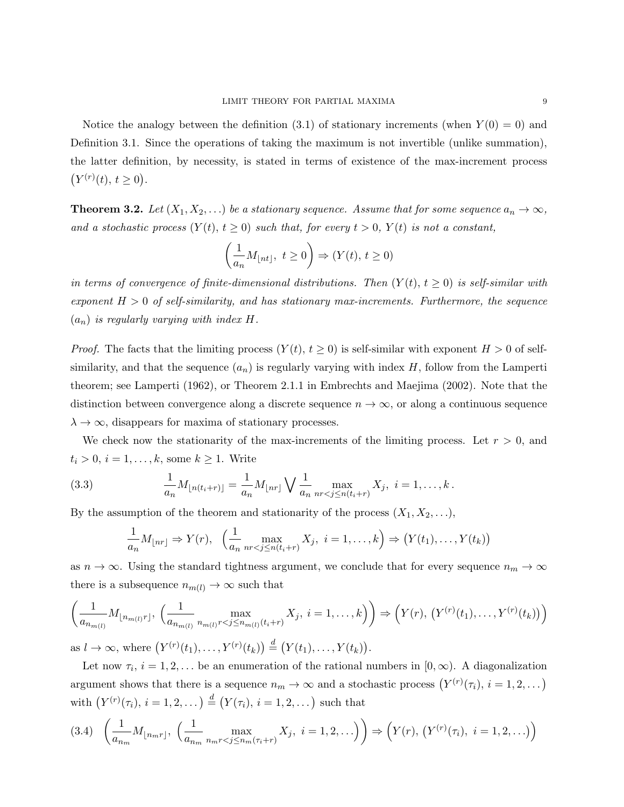Notice the analogy between the definition  $(3.1)$  of stationary increments (when  $Y(0) = 0$ ) and Definition 3.1. Since the operations of taking the maximum is not invertible (unlike summation), the latter definition, by necessity, is stated in terms of existence of the max-increment process  $(Y^{(r)}(t), t \geq 0).$ 

**Theorem 3.2.** Let  $(X_1, X_2, ...)$  be a stationary sequence. Assume that for some sequence  $a_n \to \infty$ , and a stochastic process  $(Y(t), t \ge 0)$  such that, for every  $t > 0$ ,  $Y(t)$  is not a constant,

$$
\left(\frac{1}{a_n}M_{\lfloor nt \rfloor},\ t\geq 0\right)\Rightarrow (Y(t),\,t\geq 0)
$$

in terms of convergence of finite-dimensional distributions. Then  $(Y(t), t \ge 0)$  is self-similar with exponent  $H > 0$  of self-similarity, and has stationary max-increments. Furthermore, the sequence  $(a_n)$  is regularly varying with index H.

*Proof.* The facts that the limiting process  $(Y(t), t \ge 0)$  is self-similar with exponent  $H > 0$  of selfsimilarity, and that the sequence  $(a_n)$  is regularly varying with index H, follow from the Lamperti theorem; see Lamperti (1962), or Theorem 2.1.1 in Embrechts and Maejima (2002). Note that the distinction between convergence along a discrete sequence  $n \to \infty$ , or along a continuous sequence  $\lambda \to \infty$ , disappears for maxima of stationary processes.

We check now the stationarity of the max-increments of the limiting process. Let  $r > 0$ , and  $t_i > 0, i = 1, \ldots, k$ , some  $k \geq 1$ . Write

(3.3) 
$$
\frac{1}{a_n} M_{\lfloor n(t_i+r)\rfloor} = \frac{1}{a_n} M_{\lfloor nr\rfloor} \bigvee \frac{1}{a_n} \max_{nr < j \le n(t_i+r)} X_j, \ i = 1, ..., k.
$$

By the assumption of the theorem and stationarity of the process  $(X_1, X_2, \ldots)$ ,

$$
\frac{1}{a_n}M_{\lfloor nr\rfloor} \Rightarrow Y(r), \quad \left(\frac{1}{a_n} \max_{nr < j \le n(t_i+r)} X_j, \ i = 1, \dots, k\right) \Rightarrow \left(Y(t_1), \dots, Y(t_k)\right)
$$

as  $n \to \infty$ . Using the standard tightness argument, we conclude that for every sequence  $n_m \to \infty$ there is a subsequence  $n_{m(l)} \rightarrow \infty$  such that

$$
\left(\frac{1}{a_{n_{m(l)}}}M_{\lfloor n_{m(l)}r\rfloor},\ \left(\frac{1}{a_{n_{m(l)}}}\max_{n_{m(l)}r < j \le n_{m(l)}(t_i+r)} X_j,\ i = 1,\ldots,k\right)\right) \Rightarrow \left(Y(r),\ \left(Y^{(r)}(t_1),\ldots,Y^{(r)}(t_k)\right)\right)
$$

as  $l \to \infty$ , where  $(Y^{(r)}(t_1),..., Y^{(r)}(t_k)) \stackrel{d}{=} (Y(t_1),..., Y(t_k)).$ 

Let now  $\tau_i$ ,  $i = 1, 2, \ldots$  be an enumeration of the rational numbers in  $[0, \infty)$ . A diagonalization argument shows that there is a sequence  $n_m \to \infty$  and a stochastic process  $(Y^{(r)}(\tau_i), i = 1, 2, ...)$ with  $(Y^{(r)}(\tau_i), i = 1, 2, ...) \stackrel{d}{=} (Y(\tau_i), i = 1, 2, ...)$  such that

$$
(3.4) \left(\frac{1}{a_{n_m}}M_{\lfloor n_m r \rfloor}, \left(\frac{1}{a_{n_m}} \max_{n_m r < j \le n_m(\tau_i + r)} X_j, \ i = 1, 2, \ldots\right)\right) \Rightarrow \left(Y(r), \left(Y^{(r)}(\tau_i), \ i = 1, 2, \ldots\right)\right)
$$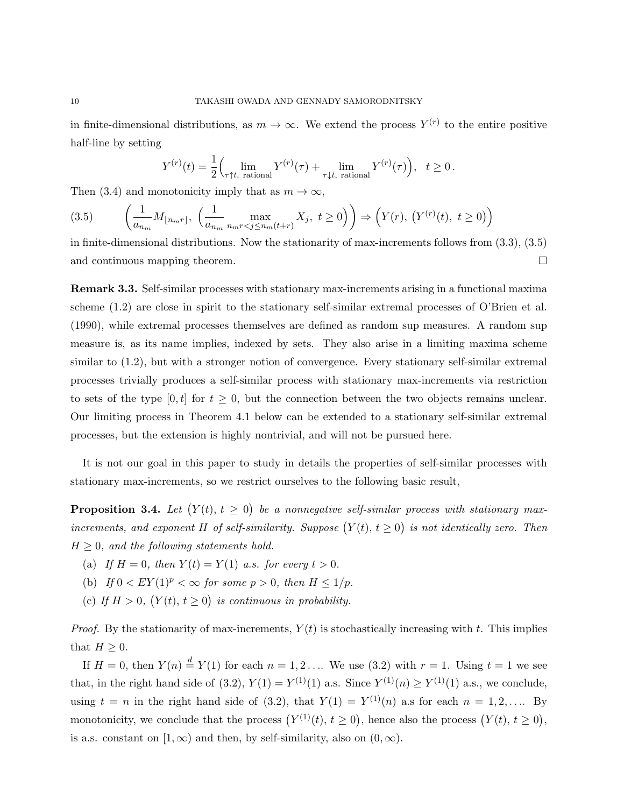in finite-dimensional distributions, as  $m \to \infty$ . We extend the process  $Y^{(r)}$  to the entire positive half-line by setting

$$
Y^{(r)}(t) = \frac{1}{2} \Big( \lim_{\tau \uparrow t, \text{ rational}} Y^{(r)}(\tau) + \lim_{\tau \downarrow t, \text{ rational}} Y^{(r)}(\tau) \Big), \quad t \ge 0.
$$

Then (3.4) and monotonicity imply that as  $m \to \infty$ ,

$$
(3.5) \qquad \left(\frac{1}{a_{n_m}}M_{\lfloor n_m r \rfloor}, \ \left(\frac{1}{a_{n_m}}\max_{n_m r < j \le n_m(t+r)} X_j, \ t \ge 0\right)\right) \Rightarrow \left(Y(r), \ \left(Y^{(r)}(t), \ t \ge 0\right)\right)
$$

in finite-dimensional distributions. Now the stationarity of max-increments follows from (3.3), (3.5) and continuous mapping theorem.

Remark 3.3. Self-similar processes with stationary max-increments arising in a functional maxima scheme (1.2) are close in spirit to the stationary self-similar extremal processes of O'Brien et al. (1990), while extremal processes themselves are defined as random sup measures. A random sup measure is, as its name implies, indexed by sets. They also arise in a limiting maxima scheme similar to (1.2), but with a stronger notion of convergence. Every stationary self-similar extremal processes trivially produces a self-similar process with stationary max-increments via restriction to sets of the type  $[0, t]$  for  $t \geq 0$ , but the connection between the two objects remains unclear. Our limiting process in Theorem 4.1 below can be extended to a stationary self-similar extremal processes, but the extension is highly nontrivial, and will not be pursued here.

It is not our goal in this paper to study in details the properties of self-similar processes with stationary max-increments, so we restrict ourselves to the following basic result,

**Proposition 3.4.** Let  $(Y(t), t \ge 0)$  be a nonnegative self-similar process with stationary maxincrements, and exponent H of self-similarity. Suppose  $(Y(t), t \ge 0)$  is not identically zero. Then  $H \geq 0$ , and the following statements hold.

- (a) If  $H = 0$ , then  $Y(t) = Y(1)$  a.s. for every  $t > 0$ .
- (b) If  $0 \lt EY(1)^p \lt \infty$  for some  $p > 0$ , then  $H \leq 1/p$ .
- (c) If  $H > 0$ ,  $(Y(t), t \ge 0)$  is continuous in probability.

*Proof.* By the stationarity of max-increments,  $Y(t)$  is stochastically increasing with t. This implies that  $H \geq 0$ .

If  $H = 0$ , then  $Y(n) \stackrel{d}{=} Y(1)$  for each  $n = 1, 2, \ldots$  We use (3.2) with  $r = 1$ . Using  $t = 1$  we see that, in the right hand side of (3.2),  $Y(1) = Y^{(1)}(1)$  a.s. Since  $Y^{(1)}(n) \ge Y^{(1)}(1)$  a.s., we conclude, using  $t = n$  in the right hand side of (3.2), that  $Y(1) = Y^{(1)}(n)$  a.s for each  $n = 1, 2, \ldots$  By monotonicity, we conclude that the process  $(Y^{(1)}(t), t \ge 0)$ , hence also the process  $(Y(t), t \ge 0)$ , is a.s. constant on  $[1, \infty)$  and then, by self-similarity, also on  $(0, \infty)$ .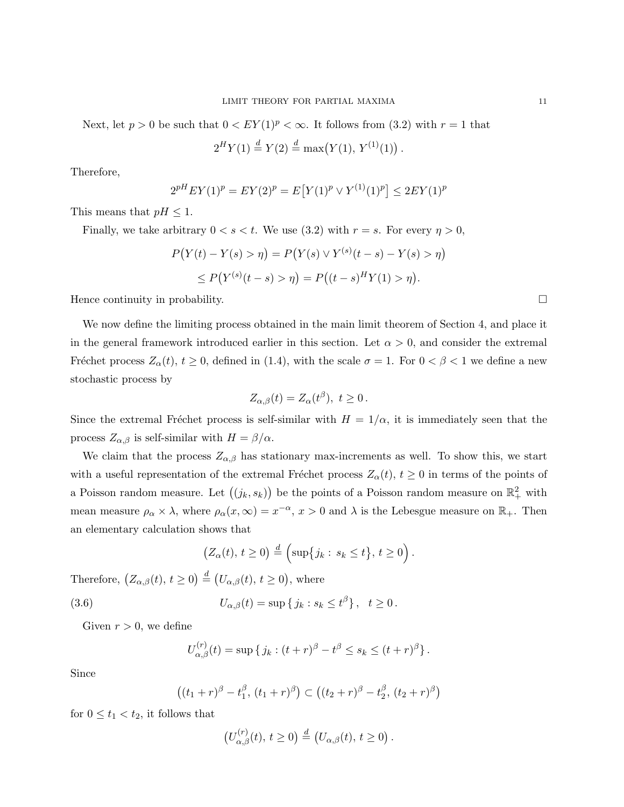Next, let  $p > 0$  be such that  $0 < EY(1)^p < \infty$ . It follows from (3.2) with  $r = 1$  that

$$
2^H Y(1) \stackrel{d}{=} Y(2) \stackrel{d}{=} \max(Y(1), Y^{(1)}(1)).
$$

Therefore,

$$
2^{pH} EY(1)^p = EY(2)^p = E[Y(1)^p \vee Y^{(1)}(1)^p] \le 2EY(1)^p
$$

This means that  $pH \leq 1$ .

Finally, we take arbitrary  $0 < s < t$ . We use (3.2) with  $r = s$ . For every  $\eta > 0$ ,

$$
P(Y(t) - Y(s) > \eta) = P(Y(s) \vee Y^{(s)}(t - s) - Y(s) > \eta)
$$
  
\n
$$
\leq P(Y^{(s)}(t - s) > \eta) = P((t - s)^H Y(1) > \eta).
$$

Hence continuity in probability.

We now define the limiting process obtained in the main limit theorem of Section 4, and place it in the general framework introduced earlier in this section. Let  $\alpha > 0$ , and consider the extremal Fréchet process  $Z_{\alpha}(t), t \geq 0$ , defined in (1.4), with the scale  $\sigma = 1$ . For  $0 < \beta < 1$  we define a new stochastic process by

$$
Z_{\alpha,\beta}(t) = Z_{\alpha}(t^{\beta}), \ t \ge 0.
$$

Since the extremal Fréchet process is self-similar with  $H = 1/\alpha$ , it is immediately seen that the process  $Z_{\alpha,\beta}$  is self-similar with  $H = \beta/\alpha$ .

We claim that the process  $Z_{\alpha,\beta}$  has stationary max-increments as well. To show this, we start with a useful representation of the extremal Fréchet process  $Z_{\alpha}(t), t \geq 0$  in terms of the points of a Poisson random measure. Let  $((j_k, s_k))$  be the points of a Poisson random measure on  $\mathbb{R}^2_+$  with mean measure  $\rho_{\alpha} \times \lambda$ , where  $\rho_{\alpha}(x,\infty) = x^{-\alpha}, x > 0$  and  $\lambda$  is the Lebesgue measure on  $\mathbb{R}_{+}$ . Then an elementary calculation shows that

$$
(Z_{\alpha}(t), t \geq 0) \stackrel{d}{=} \left(\sup\{j_k : s_k \leq t\}, t \geq 0\right).
$$

Therefore,  $(Z_{\alpha,\beta}(t), t \geq 0) \stackrel{d}{=} (U_{\alpha,\beta}(t), t \geq 0)$ , where

(3.6) 
$$
U_{\alpha,\beta}(t) = \sup \{ j_k : s_k \le t^{\beta} \}, \quad t \ge 0.
$$

Given  $r > 0$ , we define

$$
U_{\alpha,\beta}^{(r)}(t) = \sup \{ j_k : (t+r)^{\beta} - t^{\beta} \le s_k \le (t+r)^{\beta} \}.
$$

Since

$$
((t_1+r)^{\beta}-t_1^{\beta}, (t_1+r)^{\beta}) \subset ((t_2+r)^{\beta}-t_2^{\beta}, (t_2+r)^{\beta})
$$

for  $0 \le t_1 < t_2$ , it follows that

$$
\left(U_{\alpha,\beta}^{(r)}(t),\,t\geq 0\right)\stackrel{d}{=}\left(U_{\alpha,\beta}(t),\,t\geq 0\right).
$$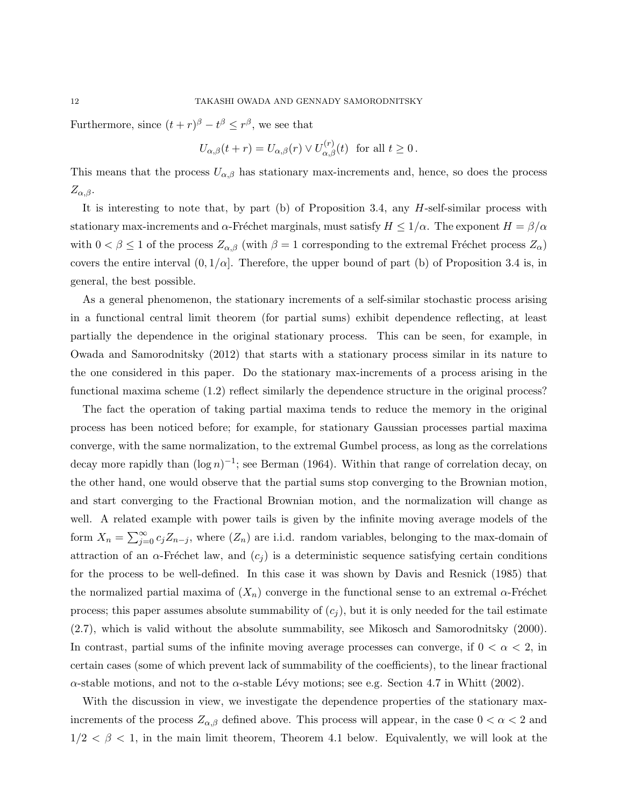Furthermore, since  $(t+r)^{\beta} - t^{\beta} \leq r^{\beta}$ , we see that

$$
U_{\alpha,\beta}(t+r) = U_{\alpha,\beta}(r) \vee U_{\alpha,\beta}^{(r)}(t) \text{ for all } t \ge 0.
$$

This means that the process  $U_{\alpha,\beta}$  has stationary max-increments and, hence, so does the process  $Z_{\alpha,\beta}$ .

It is interesting to note that, by part (b) of Proposition 3.4, any H-self-similar process with stationary max-increments and  $\alpha$ -Fréchet marginals, must satisfy  $H \leq 1/\alpha$ . The exponent  $H = \beta/\alpha$ with  $0 < \beta \leq 1$  of the process  $Z_{\alpha,\beta}$  (with  $\beta = 1$  corresponding to the extremal Fréchet process  $Z_{\alpha}$ ) covers the entire interval  $(0, 1/\alpha]$ . Therefore, the upper bound of part (b) of Proposition 3.4 is, in general, the best possible.

As a general phenomenon, the stationary increments of a self-similar stochastic process arising in a functional central limit theorem (for partial sums) exhibit dependence reflecting, at least partially the dependence in the original stationary process. This can be seen, for example, in Owada and Samorodnitsky (2012) that starts with a stationary process similar in its nature to the one considered in this paper. Do the stationary max-increments of a process arising in the functional maxima scheme  $(1.2)$  reflect similarly the dependence structure in the original process?

The fact the operation of taking partial maxima tends to reduce the memory in the original process has been noticed before; for example, for stationary Gaussian processes partial maxima converge, with the same normalization, to the extremal Gumbel process, as long as the correlations decay more rapidly than  $(\log n)^{-1}$ ; see Berman (1964). Within that range of correlation decay, on the other hand, one would observe that the partial sums stop converging to the Brownian motion, and start converging to the Fractional Brownian motion, and the normalization will change as well. A related example with power tails is given by the infinite moving average models of the form  $X_n = \sum_{j=0}^{\infty} c_j Z_{n-j}$ , where  $(Z_n)$  are i.i.d. random variables, belonging to the max-domain of attraction of an  $\alpha$ -Fréchet law, and  $(c_i)$  is a deterministic sequence satisfying certain conditions for the process to be well-defined. In this case it was shown by Davis and Resnick (1985) that the normalized partial maxima of  $(X_n)$  converge in the functional sense to an extremal  $\alpha$ -Fréchet process; this paper assumes absolute summability of  $(c_i)$ , but it is only needed for the tail estimate (2.7), which is valid without the absolute summability, see Mikosch and Samorodnitsky (2000). In contrast, partial sums of the infinite moving average processes can converge, if  $0 < \alpha < 2$ , in certain cases (some of which prevent lack of summability of the coefficients), to the linear fractional  $\alpha$ -stable motions, and not to the  $\alpha$ -stable Lévy motions; see e.g. Section 4.7 in Whitt (2002).

With the discussion in view, we investigate the dependence properties of the stationary maxincrements of the process  $Z_{\alpha,\beta}$  defined above. This process will appear, in the case  $0 < \alpha < 2$  and  $1/2 < \beta < 1$ , in the main limit theorem, Theorem 4.1 below. Equivalently, we will look at the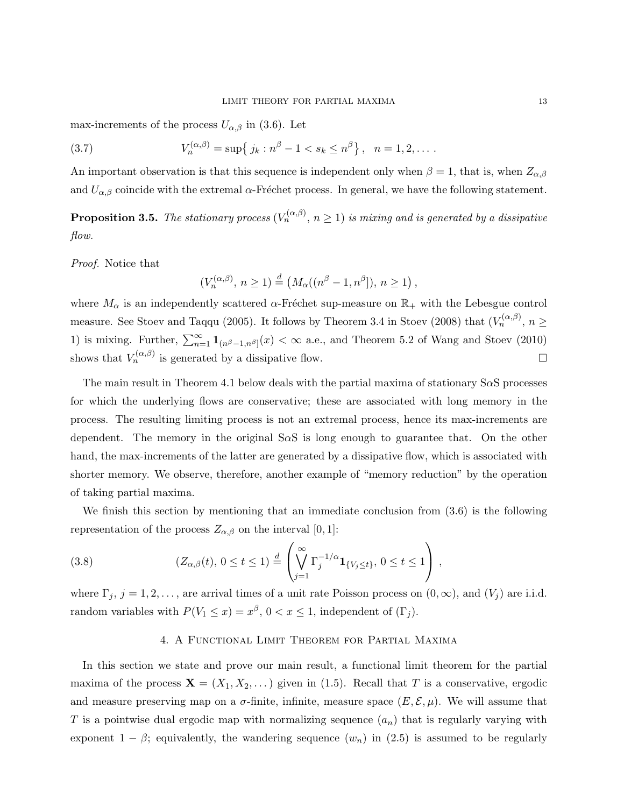max-increments of the process  $U_{\alpha,\beta}$  in (3.6). Let

(3.7) 
$$
V_n^{(\alpha,\beta)} = \sup\{j_k : n^{\beta} - 1 < s_k \leq n^{\beta}\}, \quad n = 1, 2, \dots
$$

An important observation is that this sequence is independent only when  $\beta = 1$ , that is, when  $Z_{\alpha,\beta}$ and  $U_{\alpha,\beta}$  coincide with the extremal  $\alpha$ -Fréchet process. In general, we have the following statement.

**Proposition 3.5.** The stationary process  $(V_n^{(\alpha,\beta)}, n \geq 1)$  is mixing and is generated by a dissipative flow.

Proof. Notice that

$$
(V_n^{(\alpha,\beta)}, n \ge 1) \stackrel{d}{=} \left(M_\alpha((n^\beta - 1, n^\beta]), n \ge 1\right),
$$

where  $M_\alpha$  is an independently scattered  $\alpha$ -Fréchet sup-measure on  $\mathbb{R}_+$  with the Lebesgue control measure. See Stoev and Taqqu (2005). It follows by Theorem 3.4 in Stoev (2008) that  $(V_n^{(\alpha,\beta)}, n \geq$ 1) is mixing. Further,  $\sum_{n=1}^{\infty} \mathbf{1}_{(n^{\beta}-1,n^{\beta}]}(x) < \infty$  a.e., and Theorem 5.2 of Wang and Stoev (2010) shows that  $V_n^{(\alpha,\beta)}$  is generated by a dissipative flow.

The main result in Theorem 4.1 below deals with the partial maxima of stationary  $S\alpha S$  processes for which the underlying flows are conservative; these are associated with long memory in the process. The resulting limiting process is not an extremal process, hence its max-increments are dependent. The memory in the original  $S \alpha S$  is long enough to guarantee that. On the other hand, the max-increments of the latter are generated by a dissipative flow, which is associated with shorter memory. We observe, therefore, another example of "memory reduction" by the operation of taking partial maxima.

We finish this section by mentioning that an immediate conclusion from  $(3.6)$  is the following representation of the process  $Z_{\alpha,\beta}$  on the interval [0, 1]:

(3.8) 
$$
(Z_{\alpha,\beta}(t), 0 \le t \le 1) \stackrel{d}{=} \left( \bigvee_{j=1}^{\infty} \Gamma_j^{-1/\alpha} \mathbf{1}_{\{V_j \le t\}}, 0 \le t \le 1 \right),
$$

where  $\Gamma_j$ ,  $j = 1, 2, \ldots$ , are arrival times of a unit rate Poisson process on  $(0, \infty)$ , and  $(V_j)$  are i.i.d. random variables with  $P(V_1 \le x) = x^{\beta}, 0 < x \le 1$ , independent of  $(\Gamma_j)$ .

## 4. A Functional Limit Theorem for Partial Maxima

In this section we state and prove our main result, a functional limit theorem for the partial maxima of the process  $\mathbf{X} = (X_1, X_2, \dots)$  given in (1.5). Recall that T is a conservative, ergodic and measure preserving map on a  $\sigma$ -finite, infinite, measure space  $(E, \mathcal{E}, \mu)$ . We will assume that T is a pointwise dual ergodic map with normalizing sequence  $(a_n)$  that is regularly varying with exponent  $1 - \beta$ ; equivalently, the wandering sequence  $(w_n)$  in  $(2.5)$  is assumed to be regularly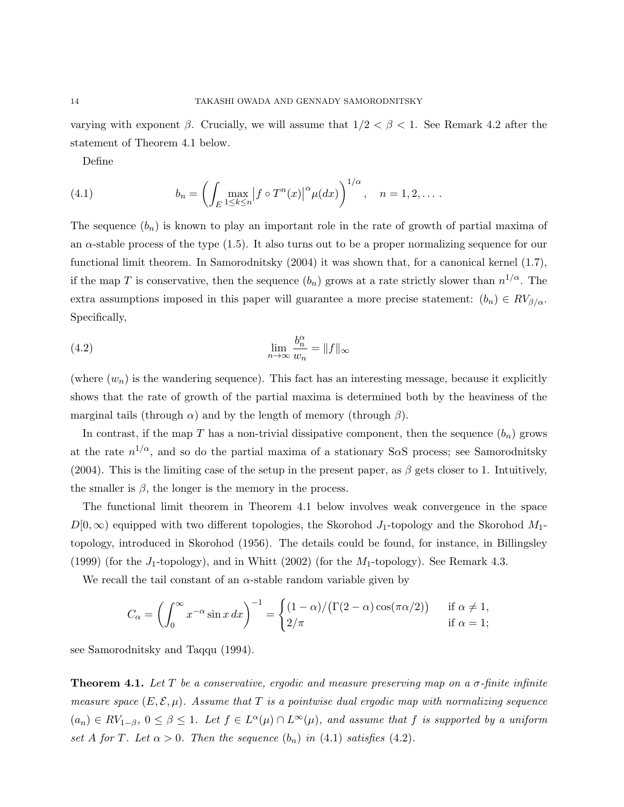varying with exponent  $\beta$ . Crucially, we will assume that  $1/2 < \beta < 1$ . See Remark 4.2 after the statement of Theorem 4.1 below.

Define

(4.1) 
$$
b_n = \left( \int_E \max_{1 \le k \le n} \left| f \circ T^n(x) \right|^{\alpha} \mu(dx) \right)^{1/\alpha}, \quad n = 1, 2, \dots.
$$

The sequence  $(b_n)$  is known to play an important role in the rate of growth of partial maxima of an  $\alpha$ -stable process of the type (1.5). It also turns out to be a proper normalizing sequence for our functional limit theorem. In Samorodnitsky (2004) it was shown that, for a canonical kernel (1.7), if the map T is conservative, then the sequence  $(b_n)$  grows at a rate strictly slower than  $n^{1/\alpha}$ . The extra assumptions imposed in this paper will guarantee a more precise statement:  $(b_n) \in RV_{\beta/\alpha}$ . Specifically,

(4.2) 
$$
\lim_{n \to \infty} \frac{b_n^{\alpha}}{w_n} = ||f||_{\infty}
$$

(where  $(w_n)$  is the wandering sequence). This fact has an interesting message, because it explicitly shows that the rate of growth of the partial maxima is determined both by the heaviness of the marginal tails (through  $\alpha$ ) and by the length of memory (through  $\beta$ ).

In contrast, if the map T has a non-trivial dissipative component, then the sequence  $(b_n)$  grows at the rate  $n^{1/\alpha}$ , and so do the partial maxima of a stationary S $\alpha$ S process; see Samorodnitsky (2004). This is the limiting case of the setup in the present paper, as  $\beta$  gets closer to 1. Intuitively, the smaller is  $\beta$ , the longer is the memory in the process.

The functional limit theorem in Theorem 4.1 below involves weak convergence in the space  $D[0,\infty)$  equipped with two different topologies, the Skorohod J<sub>1</sub>-topology and the Skorohod M<sub>1</sub>topology, introduced in Skorohod (1956). The details could be found, for instance, in Billingsley (1999) (for the  $J_1$ -topology), and in Whitt (2002) (for the  $M_1$ -topology). See Remark 4.3.

We recall the tail constant of an  $\alpha$ -stable random variable given by

$$
C_{\alpha} = \left(\int_0^{\infty} x^{-\alpha} \sin x \, dx\right)^{-1} = \begin{cases} (1-\alpha)/(\Gamma(2-\alpha)\cos(\pi\alpha/2)) & \text{if } \alpha \neq 1, \\ 2/\pi & \text{if } \alpha = 1; \end{cases}
$$

see Samorodnitsky and Taqqu (1994).

**Theorem 4.1.** Let T be a conservative, ergodic and measure preserving map on a  $\sigma$ -finite infinite measure space  $(E, \mathcal{E}, \mu)$ . Assume that T is a pointwise dual ergodic map with normalizing sequence  $(a_n) \in RV_{1-\beta}, 0 \leq \beta \leq 1$ . Let  $f \in L^{\alpha}(\mu) \cap L^{\infty}(\mu)$ , and assume that f is supported by a uniform set A for T. Let  $\alpha > 0$ . Then the sequence  $(b_n)$  in (4.1) satisfies (4.2).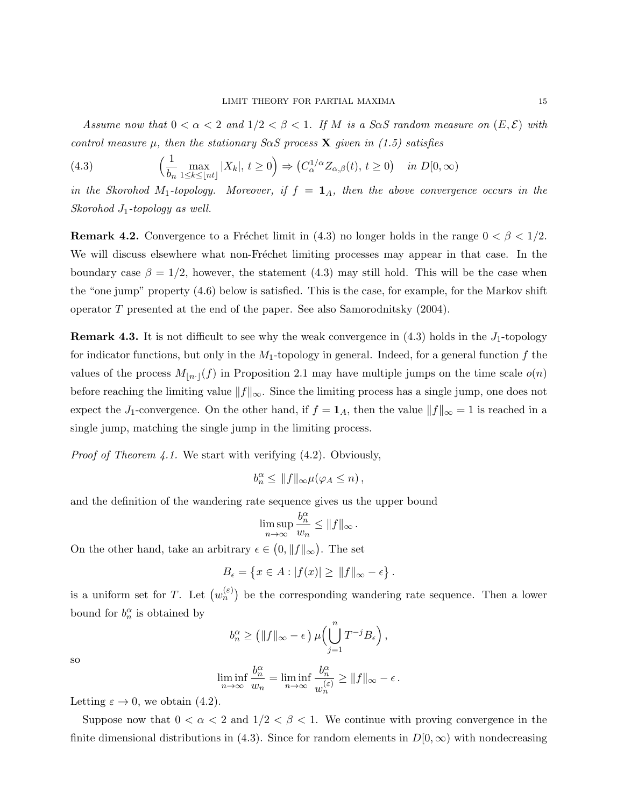Assume now that  $0 < \alpha < 2$  and  $1/2 < \beta < 1$ . If M is a Soc random measure on  $(E, \mathcal{E})$  with control measure  $\mu$ , then the stationary S $\alpha$ S process **X** given in (1.5) satisfies

(4.3) 
$$
\left(\frac{1}{b_n} \max_{1 \le k \le \lfloor nt \rfloor} |X_k|, t \ge 0\right) \Rightarrow \left(C_{\alpha}^{1/\alpha} Z_{\alpha,\beta}(t), t \ge 0\right) \quad in \ D[0, \infty)
$$

in the Skorohod M<sub>1</sub>-topology. Moreover, if  $f = 1<sub>A</sub>$ , then the above convergence occurs in the Skorohod  $J_1$ -topology as well.

**Remark 4.2.** Convergence to a Fréchet limit in (4.3) no longer holds in the range  $0 < \beta < 1/2$ . We will discuss elsewhere what non-Fréchet limiting processes may appear in that case. In the boundary case  $\beta = 1/2$ , however, the statement (4.3) may still hold. This will be the case when the "one jump" property (4.6) below is satisfied. This is the case, for example, for the Markov shift operator T presented at the end of the paper. See also Samorodnitsky (2004).

**Remark 4.3.** It is not difficult to see why the weak convergence in  $(4.3)$  holds in the  $J_1$ -topology for indicator functions, but only in the  $M_1$ -topology in general. Indeed, for a general function f the values of the process  $M_{\lfloor n\cdot\rfloor}(f)$  in Proposition 2.1 may have multiple jumps on the time scale  $o(n)$ before reaching the limiting value  $||f||_{\infty}$ . Since the limiting process has a single jump, one does not expect the J<sub>1</sub>-convergence. On the other hand, if  $f = \mathbf{1}_A$ , then the value  $||f||_{\infty} = 1$  is reached in a single jump, matching the single jump in the limiting process.

*Proof of Theorem 4.1.* We start with verifying  $(4.2)$ . Obviously,

$$
b_n^{\alpha} \leq ||f||_{\infty} \mu(\varphi_A \leq n),
$$

and the definition of the wandering rate sequence gives us the upper bound

$$
\limsup_{n\to\infty}\frac{b_n^{\alpha}}{w_n}\leq ||f||_{\infty}.
$$

On the other hand, take an arbitrary  $\epsilon \in (0, \|f\|_{\infty})$ . The set

$$
B_\epsilon = \left\{ x \in A : |f(x)| \ge \|f\|_\infty - \epsilon \right\}.
$$

is a uniform set for T. Let  $(w_n^{(\varepsilon)})$  be the corresponding wandering rate sequence. Then a lower bound for  $b_n^{\alpha}$  is obtained by

$$
b_n^{\alpha} \ge \left( \|f\|_{\infty} - \epsilon \right) \mu \left( \bigcup_{j=1}^n T^{-j} B_{\epsilon} \right),
$$

so

$$
\liminf_{n\to\infty}\frac{b_n^\alpha}{w_n}=\liminf_{n\to\infty}\frac{b_n^\alpha}{w_n^{(\varepsilon)}}\geq \|f\|_\infty-\epsilon\,.
$$

Letting  $\varepsilon \to 0$ , we obtain (4.2).

Suppose now that  $0 < \alpha < 2$  and  $1/2 < \beta < 1$ . We continue with proving convergence in the finite dimensional distributions in (4.3). Since for random elements in  $D[0,\infty)$  with nondecreasing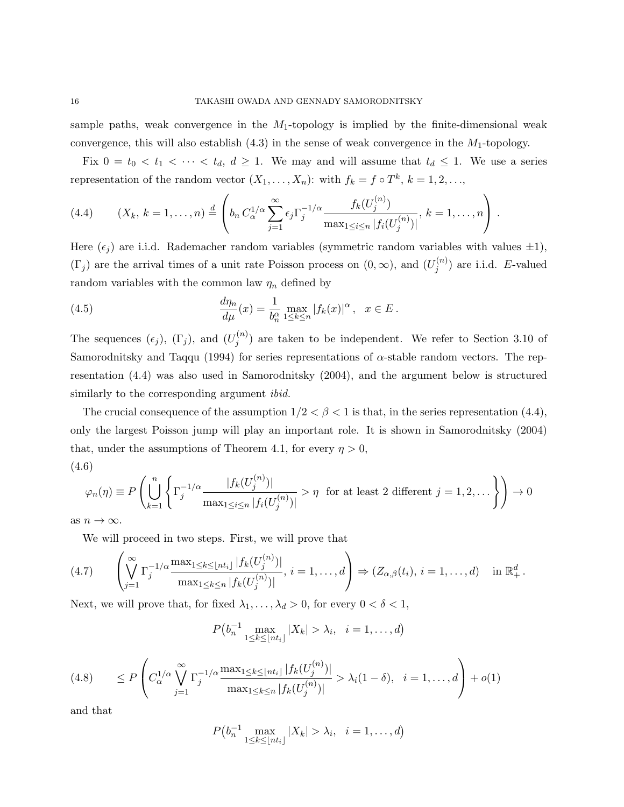sample paths, weak convergence in the  $M_1$ -topology is implied by the finite-dimensional weak convergence, this will also establish  $(4.3)$  in the sense of weak convergence in the  $M_1$ -topology.

Fix  $0 = t_0 < t_1 < \cdots < t_d$ ,  $d \ge 1$ . We may and will assume that  $t_d \le 1$ . We use a series representation of the random vector  $(X_1, \ldots, X_n)$ : with  $f_k = f \circ T^k$ ,  $k = 1, 2, \ldots$ ,

(4.4) 
$$
(X_k, k = 1,..., n) \stackrel{d}{=} \left(b_n C_{\alpha}^{1/\alpha} \sum_{j=1}^{\infty} \epsilon_j \Gamma_j^{-1/\alpha} \frac{f_k(U_j^{(n)})}{\max_{1 \leq i \leq n} |f_i(U_j^{(n)})|}, k = 1,..., n\right).
$$

Here  $(\epsilon_j)$  are i.i.d. Rademacher random variables (symmetric random variables with values  $\pm 1$ ),  $(\Gamma_j)$  are the arrival times of a unit rate Poisson process on  $(0,\infty)$ , and  $(U_j^{(n)})$  $j^{(n)}$  are i.i.d. E-valued random variables with the common law  $\eta_n$  defined by

(4.5) 
$$
\frac{d\eta_n}{d\mu}(x) = \frac{1}{b_n^{\alpha}} \max_{1 \le k \le n} |f_k(x)|^{\alpha}, \ \ x \in E.
$$

The sequences  $(\epsilon_j)$ ,  $(\Gamma_j)$ , and  $(U_j^{(n)})$  $j^{(n)}$  are taken to be independent. We refer to Section 3.10 of Samorodnitsky and Taqqu (1994) for series representations of  $\alpha$ -stable random vectors. The representation (4.4) was also used in Samorodnitsky (2004), and the argument below is structured similarly to the corresponding argument *ibid*.

The crucial consequence of the assumption  $1/2 < \beta < 1$  is that, in the series representation (4.4), only the largest Poisson jump will play an important role. It is shown in Samorodnitsky (2004) that, under the assumptions of Theorem 4.1, for every  $\eta > 0$ , (4.6)

$$
\varphi_n(\eta) \equiv P\left(\bigcup_{k=1}^n \left\{\Gamma_j^{-1/\alpha} \frac{|f_k(U_j^{(n)})|}{\max_{1 \le i \le n} |f_i(U_j^{(n)})|} > \eta \right\}
$$
 for at least 2 different  $j = 1, 2, ...$   $\right\}\right) \to 0$ 

as  $n \to \infty$ .

We will proceed in two steps. First, we will prove that

$$
(4.7) \qquad \left(\bigvee_{j=1}^{\infty} \Gamma_j^{-1/\alpha} \frac{\max_{1 \leq k \leq \lfloor nt_i \rfloor} |f_k(U_j^{(n)})|}{\max_{1 \leq k \leq n} |f_k(U_j^{(n)})|}, i = 1, \dots, d\right) \Rightarrow (Z_{\alpha,\beta}(t_i), i = 1, \dots, d) \quad \text{in } \mathbb{R}_+^d.
$$

Next, we will prove that, for fixed  $\lambda_1, \ldots, \lambda_d > 0$ , for every  $0 < \delta < 1$ ,

$$
P(b_n^{-1} \max_{1 \le k \le \lfloor nt_i \rfloor} |X_k| > \lambda_i, \quad i = 1, \dots, d)
$$

$$
(4.8) \qquad \leq P\left(C_{\alpha}^{1/\alpha} \bigvee_{j=1}^{\infty} \Gamma_j^{-1/\alpha} \frac{\max_{1 \leq k \leq \lfloor nt_i \rfloor} |f_k(U_j^{(n)})|}{\max_{1 \leq k \leq n} |f_k(U_j^{(n)})|} > \lambda_i(1-\delta), \quad i=1,\ldots,d\right) + o(1)
$$

and that

$$
P(b_n^{-1}\max_{1\leq k\leq \lfloor nt_i\rfloor} |X_k| > \lambda_i, \quad i=1,\ldots,d)
$$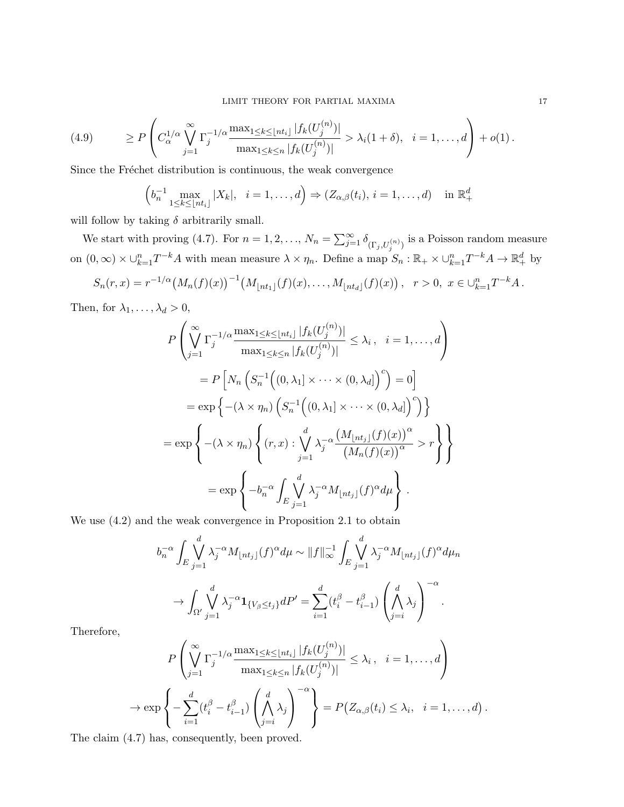$$
(4.9) \qquad \geq P\left(C_{\alpha}^{1/\alpha} \bigvee_{j=1}^{\infty} \Gamma_j^{-1/\alpha} \frac{\max_{1 \leq k \leq \lfloor nt_i \rfloor} |f_k(U_j^{(n)})|}{\max_{1 \leq k \leq n} |f_k(U_j^{(n)})|} > \lambda_i(1+\delta), \quad i=1,\ldots,d\right) + o(1).
$$

Since the Fréchet distribution is continuous, the weak convergence

$$
\left(b_n^{-1}\max_{1\leq k\leq \lfloor nt_i\rfloor} |X_k|, \quad i=1,\ldots,d\right) \Rightarrow (Z_{\alpha,\beta}(t_i),\, i=1,\ldots,d) \quad \text{in } \mathbb{R}_+^d
$$

will follow by taking  $\delta$  arbitrarily small.

We start with proving (4.7). For  $n = 1, 2, ..., N_n = \sum_{j=1}^{\infty} \delta_{(\Gamma_j, U_j^{(n)})}$  is a Poisson random measure on  $(0, \infty) \times \bigcup_{k=1}^{n} T^{-k}A$  with mean measure  $\lambda \times \eta_n$ . Define a map  $S_n : \mathbb{R}_+ \times \bigcup_{k=1}^{n} T^{-k}A \to \mathbb{R}_+^d$  by

$$
S_n(r,x) = r^{-1/\alpha} (M_n(f)(x))^{-1} (M_{\lfloor nt_1 \rfloor}(f)(x), \ldots, M_{\lfloor nt_d \rfloor}(f)(x)), \quad r > 0, \ x \in \bigcup_{k=1}^n T^{-k} A.
$$

Then, for  $\lambda_1, \ldots, \lambda_d > 0$ ,

$$
P\left(\bigvee_{j=1}^{\infty} \Gamma_j^{-1/\alpha} \frac{\max_{1\leq k\leq \lfloor nt_i \rfloor} |f_k(U_j^{(n)})|}{\max_{1\leq k\leq n} |f_k(U_j^{(n)})|} \leq \lambda_i, \quad i = 1, ..., d\right)
$$
  
\n
$$
= P\left[N_n\left(S_n^{-1}\left((0, \lambda_1] \times \cdots \times (0, \lambda_d]\right)^c\right) = 0\right]
$$
  
\n
$$
= \exp\left\{-(\lambda \times \eta_n)\left(S_n^{-1}\left((0, \lambda_1] \times \cdots \times (0, \lambda_d]\right)^c\right)\right\}
$$
  
\n
$$
= \exp\left\{-(\lambda \times \eta_n)\left\{(r, x): \bigvee_{j=1}^d \lambda_j^{-\alpha} \frac{\left(M_{\lfloor nt_j \rfloor}(f)(x)\right)^{\alpha}}{\left(M_n(f)(x)\right)^{\alpha}} > r\right\}\right\}
$$
  
\n
$$
= \exp\left\{-b_n^{-\alpha} \int_E \bigvee_{j=1}^d \lambda_j^{-\alpha} M_{\lfloor nt_j \rfloor}(f)^{\alpha} d\mu\right\}.
$$

We use (4.2) and the weak convergence in Proposition 2.1 to obtain

$$
b_n^{-\alpha} \int_E \bigvee_{j=1}^d \lambda_j^{-\alpha} M_{\lfloor nt_j \rfloor}(f)^{\alpha} d\mu \sim ||f||_{\infty}^{-1} \int_E \bigvee_{j=1}^d \lambda_j^{-\alpha} M_{\lfloor nt_j \rfloor}(f)^{\alpha} d\mu_n
$$
  

$$
\to \int_{\Omega'} \bigvee_{j=1}^d \lambda_j^{-\alpha} \mathbf{1}_{\{V_{\beta} \le t_j\}} dP' = \sum_{i=1}^d (t_i^{\beta} - t_{i-1}^{\beta}) \left(\bigwedge_{j=i}^d \lambda_j\right)^{-\alpha}.
$$

Therefore,

 $\rightarrow$ 

$$
P\left(\bigvee_{j=1}^{\infty} \Gamma_j^{-1/\alpha} \frac{\max_{1 \leq k \leq \lfloor nt_i \rfloor} |f_k(U_j^{(n)})|}{\max_{1 \leq k \leq n} |f_k(U_j^{(n)})|} \leq \lambda_i, \quad i = 1, ..., d\right)
$$

$$
\exp\left\{-\sum_{i=1}^d (t_i^{\beta} - t_{i-1}^{\beta}) \left(\bigwedge_{j=i}^d \lambda_j\right)^{-\alpha}\right\} = P(Z_{\alpha,\beta}(t_i) \leq \lambda_i, \quad i = 1, ..., d).
$$

The claim (4.7) has, consequently, been proved.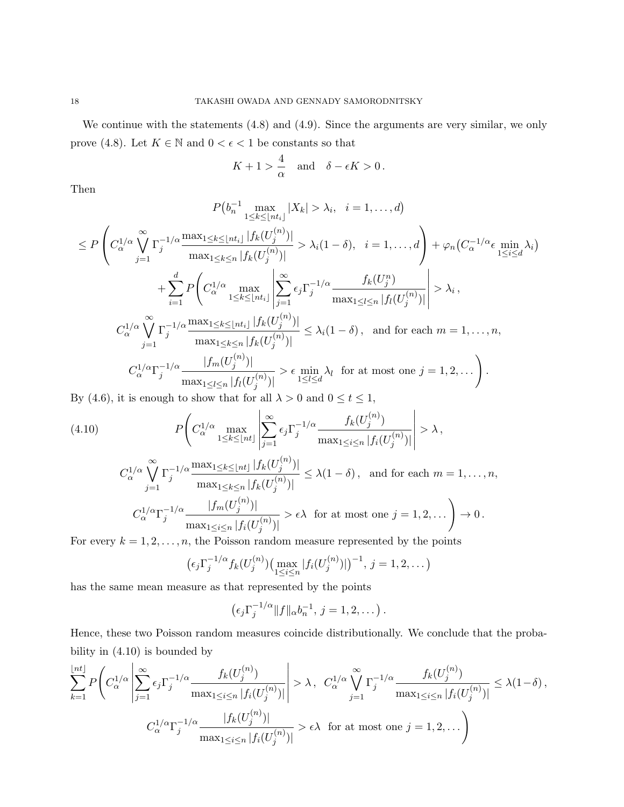We continue with the statements  $(4.8)$  and  $(4.9)$ . Since the arguments are very similar, we only prove (4.8). Let  $K \in \mathbb{N}$  and  $0 < \epsilon < 1$  be constants so that

$$
K+1 > \frac{4}{\alpha} \quad \text{and} \quad \delta - \epsilon K > 0 \, .
$$

Then

$$
P(b_n^{-1} \max_{1 \le k \le \lfloor nt_i \rfloor} |X_k| > \lambda_i, \quad i = 1, \dots, d)
$$
  
\n
$$
\le P\left(C_{\alpha}^{1/\alpha} \bigvee_{j=1}^{\infty} \Gamma_j^{-1/\alpha} \frac{\max_{1 \le k \le \lfloor nt_i \rfloor} |f_k(U_j^{(n)})|}{\max_{1 \le k \le n} |f_k(U_j^{(n)})|}\right) > \lambda_i(1-\delta), \quad i = 1, \dots, d\right) + \varphi_n(C_{\alpha}^{-1/\alpha} \epsilon \min_{1 \le i \le d} \lambda_i)
$$
  
\n
$$
+ \sum_{i=1}^d P\left(C_{\alpha}^{1/\alpha} \max_{1 \le k \le \lfloor nt_i \rfloor} \left|\sum_{j=1}^{\infty} \epsilon_j \Gamma_j^{-1/\alpha} \frac{f_k(U_j^n)}{\max_{1 \le l \le n} |f_l(U_j^{(n)})|}\right| > \lambda_i,
$$
  
\n
$$
C_{\alpha}^{1/\alpha} \bigvee_{j=1}^{\infty} \Gamma_j^{-1/\alpha} \frac{\max_{1 \le k \le \lfloor nt_i \rfloor} |f_k(U_j^{(n)})|}{\max_{1 \le k \le n} |f_k(U_j^{(n)})|} \le \lambda_i(1-\delta), \text{ and for each } m = 1, \dots, n,
$$
  
\n
$$
C_{\alpha}^{1/\alpha} \Gamma_j^{-1/\alpha} \frac{|f_m(U_j^{(n)})|}{\max_{1 \le l \le n} |f_l(U_j^{(n)})|} > \epsilon \min_{1 \le l \le d} \lambda_l \text{ for at most one } j = 1, 2, \dots
$$

By (4.6), it is enough to show that for all  $\lambda > 0$  and  $0 \le t \le 1$ ,

$$
(4.10) \qquad P\left(C_{\alpha}^{1/\alpha} \max_{1 \le k \le \lfloor nt \rfloor} \left| \sum_{j=1}^{\infty} \epsilon_j \Gamma_j^{-1/\alpha} \frac{f_k(U_j^{(n)})}{\max_{1 \le i \le n} |f_i(U_j^{(n)})|} \right| > \lambda,
$$
\n
$$
C_{\alpha}^{1/\alpha} \bigvee_{j=1}^{\infty} \Gamma_j^{-1/\alpha} \frac{\max_{1 \le k \le \lfloor nt \rfloor} |f_k(U_j^{(n)})|}{\max_{1 \le k \le n} |f_k(U_j^{(n)})|} \le \lambda (1 - \delta), \text{ and for each } m = 1, \dots, n,
$$
\n
$$
C_{\alpha}^{1/\alpha} \Gamma_j^{-1/\alpha} \frac{|f_m(U_j^{(n)})|}{\max_{1 \le i \le n} |f_i(U_j^{(n)})|} > \epsilon \lambda \text{ for at most one } j = 1, 2, \dots \right) \to 0.
$$
\nFor every  $k = 1, 2, \dots$  the Poisson random measure represented by the points

For every  $k = 1, 2, \ldots, n$ , the Poisson random measure represented by the points

$$
(\epsilon_j \Gamma_j^{-1/\alpha} f_k(U_j^{(n)}) (\max_{1 \le i \le n} |f_i(U_j^{(n)})|)^{-1}, j = 1, 2, ...)
$$

has the same mean measure as that represented by the points

$$
(\epsilon_j \Gamma_j^{-1/\alpha} || f ||_{\alpha} b_n^{-1}, j = 1, 2, \dots).
$$

Hence, these two Poisson random measures coincide distributionally. We conclude that the probability in (4.10) is bounded by

$$
\sum_{k=1}^{\lfloor nt \rfloor} P\left( C_{\alpha}^{1/\alpha} \left| \sum_{j=1}^{\infty} \epsilon_j \Gamma_j^{-1/\alpha} \frac{f_k(U_j^{(n)})}{\max_{1 \le i \le n} |f_i(U_j^{(n)})|} \right| > \lambda, \ C_{\alpha}^{1/\alpha} \bigvee_{j=1}^{\infty} \Gamma_j^{-1/\alpha} \frac{f_k(U_j^{(n)})}{\max_{1 \le i \le n} |f_i(U_j^{(n)})|} \le \lambda (1 - \delta),
$$
  

$$
C_{\alpha}^{1/\alpha} \Gamma_j^{-1/\alpha} \frac{|f_k(U_j^{(n)})|}{\max_{1 \le i \le n} |f_i(U_j^{(n)})|} > \epsilon \lambda \text{ for at most one } j = 1, 2, ...
$$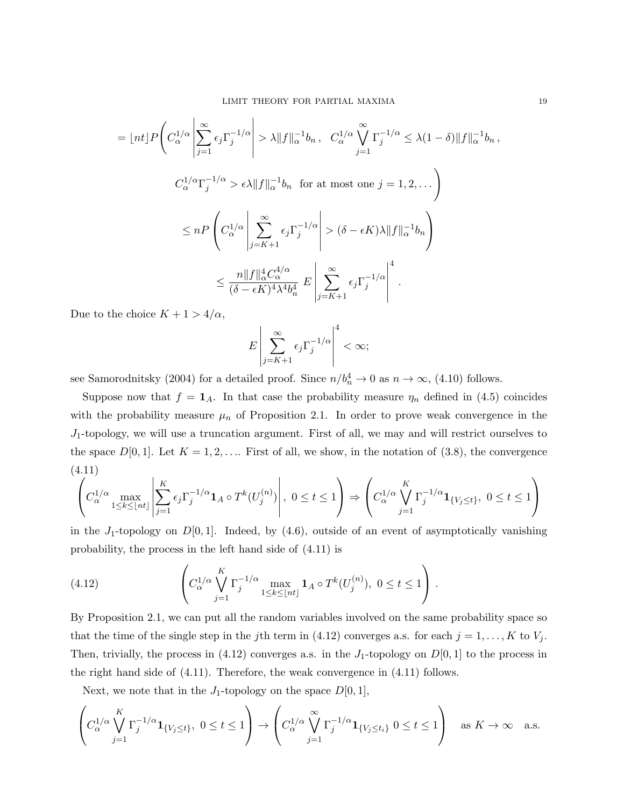$$
= \lfloor nt \rfloor P \Bigg( C_{\alpha}^{1/\alpha} \left| \sum_{j=1}^{\infty} \epsilon_j \Gamma_j^{-1/\alpha} \right| > \lambda \| f \|_{\alpha}^{-1} b_n, C_{\alpha}^{1/\alpha} \bigvee_{j=1}^{\infty} \Gamma_j^{-1/\alpha} \leq \lambda (1 - \delta) \| f \|_{\alpha}^{-1} b_n,
$$
  

$$
C_{\alpha}^{1/\alpha} \Gamma_j^{-1/\alpha} > \epsilon \lambda \| f \|_{\alpha}^{-1} b_n \text{ for at most one } j = 1, 2, ... \Bigg)
$$
  

$$
\leq n P \Bigg( C_{\alpha}^{1/\alpha} \left| \sum_{j=K+1}^{\infty} \epsilon_j \Gamma_j^{-1/\alpha} \right| > (\delta - \epsilon K) \lambda \| f \|_{\alpha}^{-1} b_n \Bigg)
$$
  

$$
\leq \frac{n \| f \|_{\alpha}^{4} C_{\alpha}^{4/\alpha}}{(\delta - \epsilon K)^4 \lambda^4 b_n^4} E \left| \sum_{j=K+1}^{\infty} \epsilon_j \Gamma_j^{-1/\alpha} \right|^4.
$$

Due to the choice  $K + 1 > 4/\alpha$ ,

$$
E\left|\sum_{j=K+1}^{\infty}\epsilon_j\Gamma_j^{-1/\alpha}\right|^4<\infty;
$$

see Samorodnitsky (2004) for a detailed proof. Since  $n/b_n^4 \to 0$  as  $n \to \infty$ , (4.10) follows.

Suppose now that  $f = 1_A$ . In that case the probability measure  $\eta_n$  defined in (4.5) coincides with the probability measure  $\mu_n$  of Proposition 2.1. In order to prove weak convergence in the  $J_1$ -topology, we will use a truncation argument. First of all, we may and will restrict ourselves to the space  $D[0,1]$ . Let  $K = 1,2,...$  First of all, we show, in the notation of  $(3.8)$ , the convergence (4.11)

$$
\left|\left(C_{\alpha}^{1/\alpha}\max_{1\leq k\leq \lfloor nt\rfloor}\left|\sum_{j=1}^{K}\epsilon_j\Gamma_j^{-1/\alpha}\mathbf{1}_A\circ T^k(U_j^{(n)})\right|,\ 0\leq t\leq 1\right)\Rightarrow \left(C_{\alpha}^{1/\alpha}\bigvee_{j=1}^{K}\Gamma_j^{-1/\alpha}\mathbf{1}_{\{V_j\leq t\}},\ 0\leq t\leq 1\right)\right|
$$

in the  $J_1$ -topology on  $D[0,1]$ . Indeed, by (4.6), outside of an event of asymptotically vanishing probability, the process in the left hand side of (4.11) is

(4.12) 
$$
\left(C_{\alpha}^{1/\alpha} \bigvee_{j=1}^{K} \Gamma_j^{-1/\alpha} \max_{1 \leq k \leq \lfloor nt \rfloor} \mathbf{1}_A \circ T^k(U_j^{(n)}), \ 0 \leq t \leq 1\right).
$$

By Proposition 2.1, we can put all the random variables involved on the same probability space so that the time of the single step in the jth term in (4.12) converges a.s. for each  $j = 1, ..., K$  to  $V_j$ . Then, trivially, the process in (4.12) converges a.s. in the  $J_1$ -topology on  $D[0,1]$  to the process in the right hand side of (4.11). Therefore, the weak convergence in (4.11) follows.

Next, we note that in the  $J_1$ -topology on the space  $D[0,1]$ ,

$$
\left(C_{\alpha}^{1/\alpha} \bigvee_{j=1}^K \Gamma_j^{-1/\alpha} \mathbf{1}_{\{V_j \le t\}}, \ 0 \le t \le 1\right) \to \left(C_{\alpha}^{1/\alpha} \bigvee_{j=1}^{\infty} \Gamma_j^{-1/\alpha} \mathbf{1}_{\{V_j \le t_i\}} \ 0 \le t \le 1\right) \quad \text{as } K \to \infty \quad \text{a.s.}
$$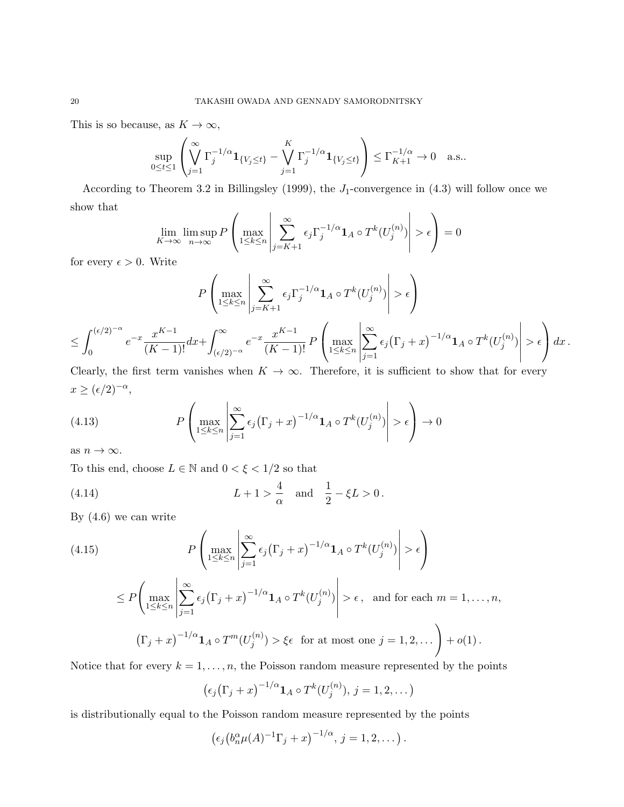This is so because, as  $K \to \infty$ ,

$$
\sup_{0\leq t\leq 1}\left(\bigvee_{j=1}^{\infty}\Gamma_j^{-1/\alpha}\mathbf{1}_{\{V_j\leq t\}}-\bigvee_{j=1}^K\Gamma_j^{-1/\alpha}\mathbf{1}_{\{V_j\leq t\}}\right)\leq \Gamma_{K+1}^{-1/\alpha}\to 0 \quad \text{a.s.}.
$$

According to Theorem 3.2 in Billingsley (1999), the  $J_1$ -convergence in (4.3) will follow once we show that

$$
\lim_{K \to \infty} \limsup_{n \to \infty} P\left(\max_{1 \le k \le n} \left| \sum_{j=K+1}^{\infty} \epsilon_j \Gamma_j^{-1/\alpha} \mathbf{1}_A \circ T^k(U_j^{(n)}) \right| > \epsilon \right) = 0
$$

for every  $\epsilon > 0$ . Write

$$
P\left(\max_{1\leq k\leq n}\left|\sum_{j=K+1}^{\infty}\epsilon_j\Gamma_j^{-1/\alpha}\mathbf{1}_A\circ T^k(U_j^{(n)})\right|>\epsilon\right)
$$
  

$$
\leq \int_0^{(\epsilon/2)^{-\alpha}}e^{-x}\frac{x^{K-1}}{(K-1)!}dx+\int_{(\epsilon/2)^{-\alpha}}^{\infty}e^{-x}\frac{x^{K-1}}{(K-1)!}P\left(\max_{1\leq k\leq n}\left|\sum_{j=1}^{\infty}\epsilon_j\left(\Gamma_j+x\right)^{-1/\alpha}\mathbf{1}_A\circ T^k(U_j^{(n)})\right|>\epsilon\right)dx.
$$

Clearly, the first term vanishes when  $K \to \infty$ . Therefore, it is sufficient to show that for every  $x \ge (\epsilon/2)^{-\alpha},$ 

(4.13) 
$$
P\left(\max_{1\leq k\leq n}\left|\sum_{j=1}^{\infty}\epsilon_j\big(\Gamma_j+x\big)^{-1/\alpha}\mathbf{1}_A\circ T^k(U_j^{(n)})\right|>\epsilon\right)\to 0
$$

as  $n \to \infty$ .

To this end, choose  $L \in \mathbb{N}$  and  $0 < \xi < 1/2$  so that

(4.14) 
$$
L+1 > \frac{4}{\alpha}
$$
 and  $\frac{1}{2} - \xi L > 0$ .

By (4.6) we can write

(4.15)  
\n
$$
P\left(\max_{1\leq k\leq n} \left|\sum_{j=1}^{\infty} \epsilon_j (\Gamma_j + x)^{-1/\alpha} \mathbf{1}_A \circ T^k(U_j^{(n)})\right| > \epsilon\right)
$$
\n
$$
\leq P\left(\max_{1\leq k\leq n} \left|\sum_{j=1}^{\infty} \epsilon_j (\Gamma_j + x)^{-1/\alpha} \mathbf{1}_A \circ T^k(U_j^{(n)})\right| > \epsilon, \text{ and for each } m = 1, \dots, n,
$$
\n
$$
(\Gamma_j + x)^{-1/\alpha} \mathbf{1}_A \circ T^m(U_j^{(n)}) > \xi\epsilon \text{ for at most one } j = 1, 2, \dots\right) + o(1).
$$

Notice that for every  $k = 1, \ldots, n$ , the Poisson random measure represented by the points

$$
(\epsilon_j(\Gamma_j + x)^{-1/\alpha} \mathbf{1}_A \circ T^k(U_j^{(n)}), j = 1, 2, \dots)
$$

is distributionally equal to the Poisson random measure represented by the points

$$
(\epsilon_j (b_n^{\alpha} \mu(A)^{-1} \Gamma_j + x)^{-1/\alpha}, j = 1, 2, \dots).
$$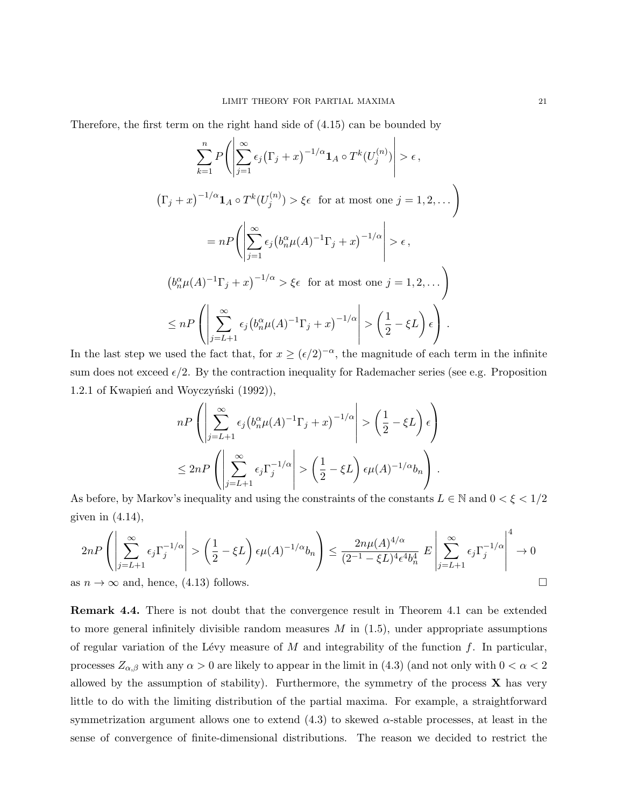Therefore, the first term on the right hand side of (4.15) can be bounded by

$$
\sum_{k=1}^{n} P\left(\left|\sum_{j=1}^{\infty} \epsilon_j (\Gamma_j + x)^{-1/\alpha} \mathbf{1}_A \circ T^k(U_j^{(n)})\right| > \epsilon,
$$
\n
$$
(\Gamma_j + x)^{-1/\alpha} \mathbf{1}_A \circ T^k(U_j^{(n)}) > \xi \epsilon \text{ for at most one } j = 1, 2, ...
$$
\n
$$
= nP\left(\left|\sum_{j=1}^{\infty} \epsilon_j \left(b_n^{\alpha} \mu(A)^{-1} \Gamma_j + x\right)^{-1/\alpha}\right| > \epsilon,
$$
\n
$$
\left(b_n^{\alpha} \mu(A)^{-1} \Gamma_j + x\right)^{-1/\alpha} > \xi \epsilon \text{ for at most one } j = 1, 2, ...
$$
\n
$$
\leq nP\left(\left|\sum_{j=L+1}^{\infty} \epsilon_j \left(b_n^{\alpha} \mu(A)^{-1} \Gamma_j + x\right)^{-1/\alpha}\right| > \left(\frac{1}{2} - \xi L\right) \epsilon\right).
$$

In the last step we used the fact that, for  $x \geq (\epsilon/2)^{-\alpha}$ , the magnitude of each term in the infinite sum does not exceed  $\epsilon/2$ . By the contraction inequality for Rademacher series (see e.g. Proposition 1.2.1 of Kwapień and Woyczyński (1992)),

$$
nP\left(\left|\sum_{j=L+1}^{\infty} \epsilon_j \left(b_n^{\alpha}\mu(A)^{-1}\Gamma_j + x\right)^{-1/\alpha}\right| > \left(\frac{1}{2} - \xi L\right)\epsilon\right)
$$
  

$$
\leq 2nP\left(\left|\sum_{j=L+1}^{\infty} \epsilon_j \Gamma_j^{-1/\alpha}\right| > \left(\frac{1}{2} - \xi L\right)\epsilon \mu(A)^{-1/\alpha}b_n\right).
$$

As before, by Markov's inequality and using the constraints of the constants  $L \in \mathbb{N}$  and  $0 < \xi < 1/2$ given in  $(4.14)$ ,

$$
2nP\left(\left|\sum_{j=L+1}^{\infty}\epsilon_j\Gamma_j^{-1/\alpha}\right| > \left(\frac{1}{2} - \xi L\right)\epsilon\mu(A)^{-1/\alpha}b_n\right) \le \frac{2n\mu(A)^{4/\alpha}}{(2^{-1} - \xi L)^4\epsilon^4b_n^4} E\left|\sum_{j=L+1}^{\infty}\epsilon_j\Gamma_j^{-1/\alpha}\right|^4 \to 0
$$
  
as  $n \to \infty$  and, hence, (4.13) follows.

Remark 4.4. There is not doubt that the convergence result in Theorem 4.1 can be extended to more general infinitely divisible random measures  $M$  in  $(1.5)$ , under appropriate assumptions of regular variation of the Lévy measure of M and integrability of the function f. In particular, processes  $Z_{\alpha,\beta}$  with any  $\alpha > 0$  are likely to appear in the limit in (4.3) (and not only with  $0 < \alpha < 2$ allowed by the assumption of stability). Furthermore, the symmetry of the process  $X$  has very little to do with the limiting distribution of the partial maxima. For example, a straightforward symmetrization argument allows one to extend  $(4.3)$  to skewed  $\alpha$ -stable processes, at least in the sense of convergence of finite-dimensional distributions. The reason we decided to restrict the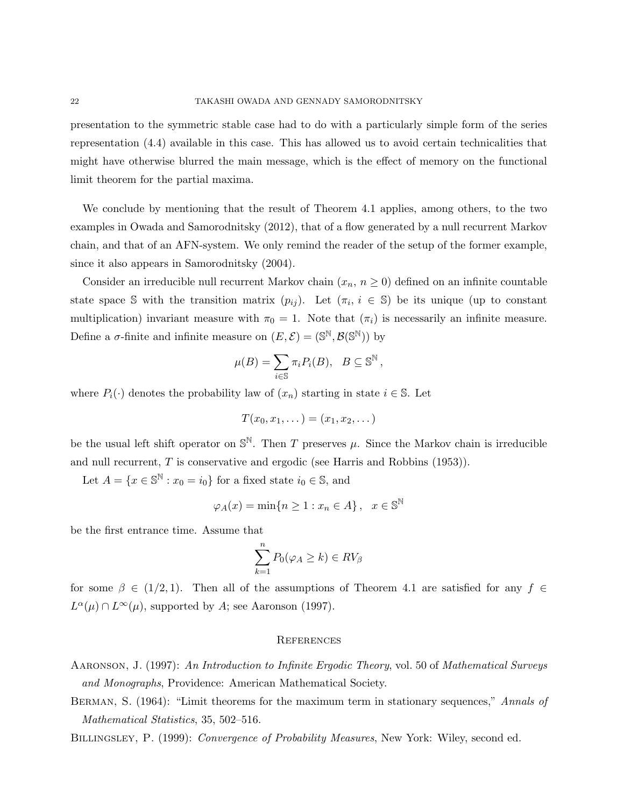presentation to the symmetric stable case had to do with a particularly simple form of the series representation (4.4) available in this case. This has allowed us to avoid certain technicalities that might have otherwise blurred the main message, which is the effect of memory on the functional limit theorem for the partial maxima.

We conclude by mentioning that the result of Theorem 4.1 applies, among others, to the two examples in Owada and Samorodnitsky (2012), that of a flow generated by a null recurrent Markov chain, and that of an AFN-system. We only remind the reader of the setup of the former example, since it also appears in Samorodnitsky (2004).

Consider an irreducible null recurrent Markov chain  $(x_n, n \geq 0)$  defined on an infinite countable state space S with the transition matrix  $(p_{ij})$ . Let  $(\pi_i, i \in S)$  be its unique (up to constant multiplication) invariant measure with  $\pi_0 = 1$ . Note that  $(\pi_i)$  is necessarily an infinite measure. Define a  $\sigma$ -finite and infinite measure on  $(E, \mathcal{E}) = (\mathbb{S}^{\mathbb{N}}, \mathcal{B}(\mathbb{S}^{\mathbb{N}}))$  by

$$
\mu(B) = \sum_{i \in \mathbb{S}} \pi_i P_i(B), \quad B \subseteq \mathbb{S}^{\mathbb{N}},
$$

where  $P_i(\cdot)$  denotes the probability law of  $(x_n)$  starting in state  $i \in \mathbb{S}$ . Let

$$
T(x_0,x_1,\dots)=(x_1,x_2,\dots)
$$

be the usual left shift operator on  $\mathbb{S}^{\mathbb{N}}$ . Then T preserves  $\mu$ . Since the Markov chain is irreducible and null recurrent, T is conservative and ergodic (see Harris and Robbins (1953)).

Let  $A = \{x \in \mathbb{S}^{\mathbb{N}} : x_0 = i_0\}$  for a fixed state  $i_0 \in \mathbb{S}$ , and

$$
\varphi_A(x) = \min\{n \ge 1 : x_n \in A\}, \quad x \in \mathbb{S}^{\mathbb{N}}
$$

be the first entrance time. Assume that

$$
\sum_{k=1}^{n} P_0(\varphi_A \ge k) \in RV_\beta
$$

for some  $\beta \in (1/2, 1)$ . Then all of the assumptions of Theorem 4.1 are satisfied for any  $f \in$  $L^{\alpha}(\mu) \cap L^{\infty}(\mu)$ , supported by A; see Aaronson (1997).

#### **REFERENCES**

Aaronson, J. (1997): An Introduction to Infinite Ergodic Theory, vol. 50 of Mathematical Surveys and Monographs, Providence: American Mathematical Society.

BERMAN, S. (1964): "Limit theorems for the maximum term in stationary sequences," Annals of Mathematical Statistics, 35, 502–516.

BILLINGSLEY, P. (1999): Convergence of Probability Measures, New York: Wiley, second ed.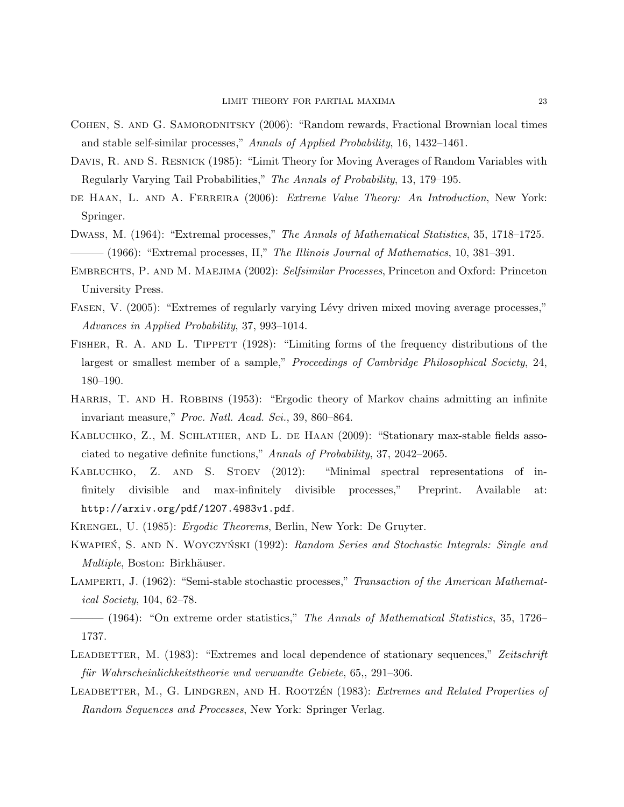- Cohen, S. and G. Samorodnitsky (2006): "Random rewards, Fractional Brownian local times and stable self-similar processes," Annals of Applied Probability, 16, 1432–1461.
- DAVIS, R. AND S. RESNICK (1985): "Limit Theory for Moving Averages of Random Variables with Regularly Varying Tail Probabilities," The Annals of Probability, 13, 179–195.
- DE HAAN, L. AND A. FERREIRA (2006): *Extreme Value Theory: An Introduction*, New York: Springer.
- Dwass, M. (1964): "Extremal processes," The Annals of Mathematical Statistics, 35, 1718–1725.  $-$  (1966): "Extremal processes, II," The Illinois Journal of Mathematics, 10, 381–391.
- EMBRECHTS, P. AND M. MAEJIMA (2002): Selfsimilar Processes, Princeton and Oxford: Princeton University Press.
- FASEN, V. (2005): "Extremes of regularly varying Lévy driven mixed moving average processes," Advances in Applied Probability, 37, 993–1014.
- FISHER, R. A. AND L. TIPPETT (1928): "Limiting forms of the frequency distributions of the largest or smallest member of a sample," Proceedings of Cambridge Philosophical Society, 24, 180–190.
- HARRIS, T. AND H. ROBBINS (1953): "Ergodic theory of Markov chains admitting an infinite invariant measure," Proc. Natl. Acad. Sci., 39, 860–864.
- KABLUCHKO, Z., M. SCHLATHER, AND L. DE HAAN (2009): "Stationary max-stable fields associated to negative definite functions," Annals of Probability, 37, 2042–2065.
- Kabluchko, Z. and S. Stoev (2012): "Minimal spectral representations of infinitely divisible and max-infinitely divisible processes," Preprint. Available at: http://arxiv.org/pdf/1207.4983v1.pdf.
- Krengel, U. (1985): Ergodic Theorems, Berlin, New York: De Gruyter.
- KWAPIEN, S. AND N. WOYCZYNSKI (1992): Random Series and Stochastic Integrals: Single and Multiple, Boston: Birkhäuser.
- LAMPERTI, J. (1962): "Semi-stable stochastic processes," Transaction of the American Mathematical Society, 104, 62–78.
- $-$  (1964): "On extreme order statistics," The Annals of Mathematical Statistics, 35, 1726– 1737.
- LEADBETTER, M. (1983): "Extremes and local dependence of stationary sequences," Zeitschrift für Wahrscheinlichkeitstheorie und verwandte Gebiete, 65,, 291–306.
- LEADBETTER, M., G. LINDGREN, AND H. ROOTZÉN (1983): Extremes and Related Properties of Random Sequences and Processes, New York: Springer Verlag.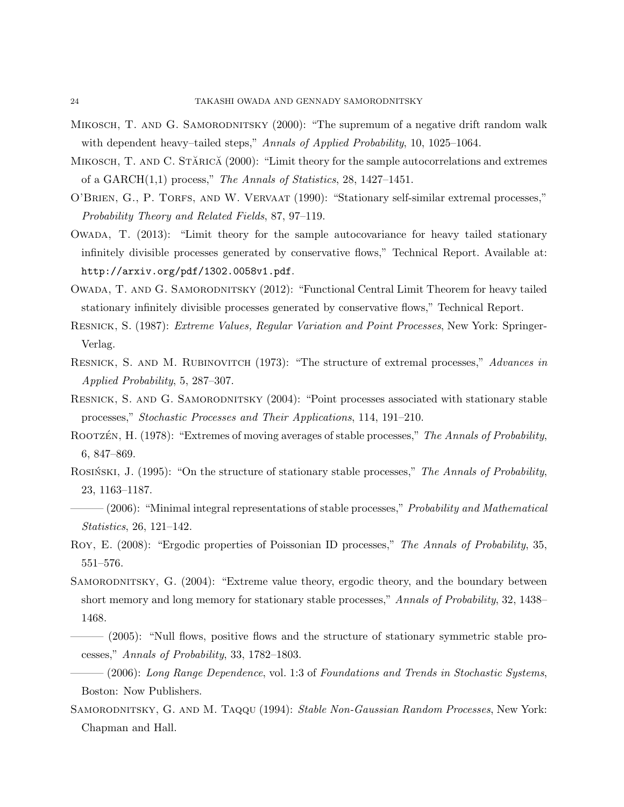- MIKOSCH, T. AND G. SAMORODNITSKY (2000): "The supremum of a negative drift random walk with dependent heavy–tailed steps," Annals of Applied Probability, 10, 1025–1064.
- MIKOSCH, T. AND C. STĂRICĂ (2000): "Limit theory for the sample autocorrelations and extremes of a GARCH $(1,1)$  process," The Annals of Statistics, 28, 1427–1451.
- O'BRIEN, G., P. TORFS, AND W. VERVAAT (1990): "Stationary self-similar extremal processes," Probability Theory and Related Fields, 87, 97–119.
- Owada, T. (2013): "Limit theory for the sample autocovariance for heavy tailed stationary infinitely divisible processes generated by conservative flows," Technical Report. Available at: http://arxiv.org/pdf/1302.0058v1.pdf.
- Owada, T. and G. Samorodnitsky (2012): "Functional Central Limit Theorem for heavy tailed stationary infinitely divisible processes generated by conservative flows," Technical Report.
- Resnick, S. (1987): Extreme Values, Regular Variation and Point Processes, New York: Springer-Verlag.
- RESNICK, S. AND M. RUBINOVITCH (1973): "The structure of extremal processes," Advances in Applied Probability, 5, 287–307.
- RESNICK, S. AND G. SAMORODNITSKY (2004): "Point processes associated with stationary stable processes," Stochastic Processes and Their Applications, 114, 191–210.
- ROOTZÉN, H. (1978): "Extremes of moving averages of stable processes," The Annals of Probability, 6, 847–869.
- ROSINSKI, J. (1995): "On the structure of stationary stable processes," The Annals of Probability, 23, 1163–1187.
- $-$  (2006): "Minimal integral representations of stable processes," Probability and Mathematical Statistics, 26, 121–142.
- ROY, E. (2008): "Ergodic properties of Poissonian ID processes," The Annals of Probability, 35, 551–576.
- SAMORODNITSKY, G. (2004): "Extreme value theory, ergodic theory, and the boundary between short memory and long memory for stationary stable processes," Annals of Probability, 32, 1438– 1468.
- ——— (2005): "Null flows, positive flows and the structure of stationary symmetric stable processes," Annals of Probability, 33, 1782–1803.
- $-(2006)$ : Long Range Dependence, vol. 1:3 of Foundations and Trends in Stochastic Systems, Boston: Now Publishers.
- SAMORODNITSKY, G. AND M. TAQQU (1994): Stable Non-Gaussian Random Processes, New York: Chapman and Hall.